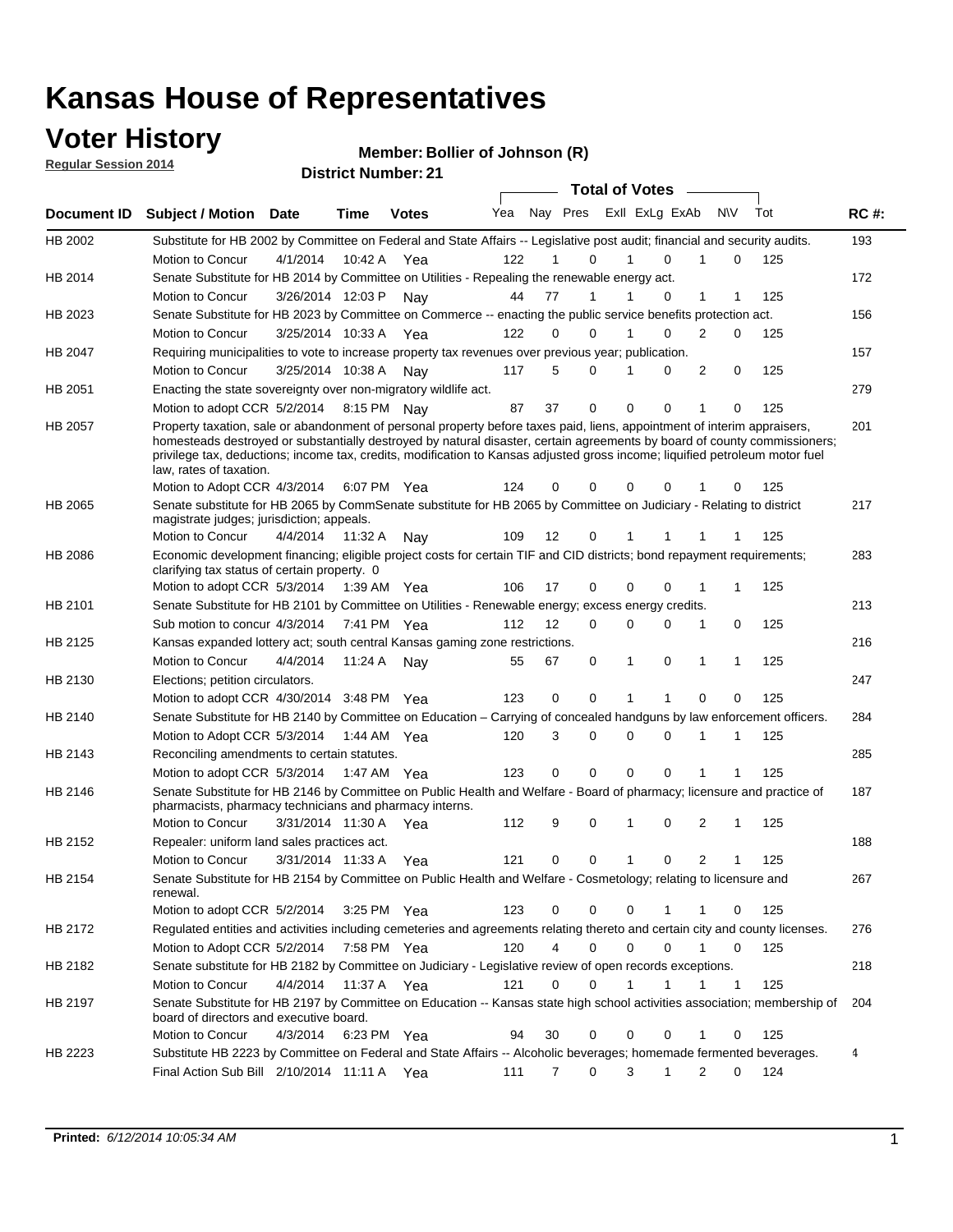### **Voter History**

**Regular Session 2014**

|                |                                                                                                                                                                                                                                                                                                                                                                                                                  |                      |             |              |     |                |                             |   | <b>Total of Votes</b> |             |                |             |     |             |
|----------------|------------------------------------------------------------------------------------------------------------------------------------------------------------------------------------------------------------------------------------------------------------------------------------------------------------------------------------------------------------------------------------------------------------------|----------------------|-------------|--------------|-----|----------------|-----------------------------|---|-----------------------|-------------|----------------|-------------|-----|-------------|
| Document ID    | <b>Subject / Motion</b>                                                                                                                                                                                                                                                                                                                                                                                          | Date                 | <b>Time</b> | <b>Votes</b> | Yea |                | Nay Pres ExII ExLg ExAb N\V |   |                       |             |                |             | Tot | <b>RC#:</b> |
| HB 2002        | Substitute for HB 2002 by Committee on Federal and State Affairs -- Legislative post audit; financial and security audits.                                                                                                                                                                                                                                                                                       |                      |             |              |     |                |                             |   |                       |             |                |             |     | 193         |
|                | Motion to Concur                                                                                                                                                                                                                                                                                                                                                                                                 | 4/1/2014             | 10:42 A     | Yea          | 122 |                | $\Omega$                    |   | 1                     | $\Omega$    |                | $\mathbf 0$ | 125 |             |
| HB 2014        | Senate Substitute for HB 2014 by Committee on Utilities - Repealing the renewable energy act.                                                                                                                                                                                                                                                                                                                    |                      |             |              |     |                |                             |   |                       |             |                |             |     | 172         |
|                | Motion to Concur                                                                                                                                                                                                                                                                                                                                                                                                 | 3/26/2014 12:03 P    |             | Nay          | 44  | 77             | $\mathbf{1}$                |   | 1                     | 0           | 1              | 1           | 125 |             |
| HB 2023        | Senate Substitute for HB 2023 by Committee on Commerce -- enacting the public service benefits protection act.                                                                                                                                                                                                                                                                                                   |                      |             |              |     |                |                             |   |                       |             |                |             |     | 156         |
|                | Motion to Concur                                                                                                                                                                                                                                                                                                                                                                                                 | 3/25/2014 10:33 A    |             | Yea          | 122 | 0              | $\Omega$                    | 1 |                       | $\Omega$    | 2              | 0           | 125 |             |
| HB 2047        | Requiring municipalities to vote to increase property tax revenues over previous year; publication.                                                                                                                                                                                                                                                                                                              |                      |             |              |     |                |                             |   |                       |             |                |             |     | 157         |
|                | Motion to Concur                                                                                                                                                                                                                                                                                                                                                                                                 | 3/25/2014 10:38 A    |             | Nav          | 117 | 5              | 0                           | 1 |                       | $\Omega$    | 2              | 0           | 125 |             |
| HB 2051        | Enacting the state sovereignty over non-migratory wildlife act.                                                                                                                                                                                                                                                                                                                                                  |                      |             |              |     |                |                             |   |                       |             |                |             |     | 279         |
|                | Motion to adopt CCR 5/2/2014 8:15 PM Nay                                                                                                                                                                                                                                                                                                                                                                         |                      |             |              | 87  | 37             | $\mathbf 0$                 |   | $\mathbf 0$           | 0           | 1              | 0           | 125 |             |
| HB 2057        | Property taxation, sale or abandonment of personal property before taxes paid, liens, appointment of interim appraisers,<br>homesteads destroyed or substantially destroyed by natural disaster, certain agreements by board of county commissioners;<br>privilege tax, deductions; income tax, credits, modification to Kansas adjusted gross income; liquified petroleum motor fuel<br>law, rates of taxation. |                      |             |              |     |                |                             |   |                       |             |                |             |     | 201         |
|                | Motion to Adopt CCR 4/3/2014                                                                                                                                                                                                                                                                                                                                                                                     |                      |             | 6:07 PM Yea  | 124 | 0              | 0                           |   | 0                     | 0           |                | 0           | 125 |             |
| HB 2065        | Senate substitute for HB 2065 by CommSenate substitute for HB 2065 by Committee on Judiciary - Relating to district<br>magistrate judges; jurisdiction; appeals.                                                                                                                                                                                                                                                 |                      |             |              |     |                |                             |   |                       |             |                |             |     | 217         |
|                | Motion to Concur                                                                                                                                                                                                                                                                                                                                                                                                 | 4/4/2014             | 11:32 A     | Nay          | 109 | 12             | 0                           |   |                       |             |                |             | 125 |             |
| <b>HB 2086</b> | Economic development financing; eligible project costs for certain TIF and CID districts; bond repayment requirements;<br>clarifying tax status of certain property. 0                                                                                                                                                                                                                                           |                      |             |              |     |                |                             |   |                       |             |                |             |     | 283         |
|                | Motion to adopt CCR 5/3/2014 1:39 AM Yea                                                                                                                                                                                                                                                                                                                                                                         |                      |             |              | 106 | 17             | $\mathbf 0$                 |   | 0                     | 0           | 1              | 1           | 125 |             |
| HB 2101        | Senate Substitute for HB 2101 by Committee on Utilities - Renewable energy; excess energy credits.                                                                                                                                                                                                                                                                                                               |                      |             |              |     |                |                             |   |                       |             |                |             |     | 213         |
|                | Sub motion to concur 4/3/2014 7:41 PM Yea                                                                                                                                                                                                                                                                                                                                                                        |                      |             |              | 112 | 12             | $\Omega$                    |   | 0                     | $\mathbf 0$ | 1              | 0           | 125 |             |
| HB 2125        | Kansas expanded lottery act; south central Kansas gaming zone restrictions.                                                                                                                                                                                                                                                                                                                                      |                      |             |              |     |                |                             |   |                       |             |                |             |     | 216         |
|                | Motion to Concur                                                                                                                                                                                                                                                                                                                                                                                                 | 4/4/2014             | 11:24 A     | Nav          | 55  | 67             | 0                           |   | 1                     | 0           | 1              | 1           | 125 |             |
| HB 2130        | Elections; petition circulators.                                                                                                                                                                                                                                                                                                                                                                                 |                      |             |              |     |                |                             |   |                       |             |                |             |     | 247         |
|                | Motion to adopt CCR 4/30/2014 3:48 PM Yea                                                                                                                                                                                                                                                                                                                                                                        |                      |             |              | 123 | 0              | $\mathbf 0$                 |   | 1                     | 1           | $\Omega$       | 0           | 125 |             |
| HB 2140        | Senate Substitute for HB 2140 by Committee on Education – Carrying of concealed handguns by law enforcement officers.                                                                                                                                                                                                                                                                                            |                      |             |              |     |                |                             |   |                       |             |                |             |     | 284         |
|                | Motion to Adopt CCR 5/3/2014 1:44 AM Yea                                                                                                                                                                                                                                                                                                                                                                         |                      |             |              | 120 | 3              | 0                           |   | 0                     | $\Omega$    |                | 1           | 125 |             |
| HB 2143        | Reconciling amendments to certain statutes.                                                                                                                                                                                                                                                                                                                                                                      |                      |             |              |     |                |                             |   |                       |             |                |             |     | 285         |
|                | Motion to adopt CCR 5/3/2014 1:47 AM Yea                                                                                                                                                                                                                                                                                                                                                                         |                      |             |              | 123 | 0              | $\mathbf 0$                 |   | $\Omega$              | $\Omega$    | 1              |             | 125 |             |
| <b>HB 2146</b> | Senate Substitute for HB 2146 by Committee on Public Health and Welfare - Board of pharmacy; licensure and practice of<br>pharmacists, pharmacy technicians and pharmacy interns.                                                                                                                                                                                                                                |                      |             |              |     |                |                             |   |                       |             |                |             |     | 187         |
|                | Motion to Concur                                                                                                                                                                                                                                                                                                                                                                                                 | 3/31/2014 11:30 A    |             | Yea          | 112 | 9              | 0                           |   | 1                     | 0           | 2              | 1           | 125 |             |
| HB 2152        | Repealer: uniform land sales practices act.                                                                                                                                                                                                                                                                                                                                                                      |                      |             |              |     |                |                             |   |                       |             |                |             |     | 188         |
|                | Motion to Concur                                                                                                                                                                                                                                                                                                                                                                                                 | 3/31/2014 11:33 A    |             | Yea          | 121 | 0              | 0                           |   | 1                     | 0           | $\overline{2}$ | 1           | 125 |             |
| HB 2154        | Senate Substitute for HB 2154 by Committee on Public Health and Welfare - Cosmetology; relating to licensure and<br>renewal.                                                                                                                                                                                                                                                                                     |                      |             |              |     |                |                             |   |                       |             |                |             |     | 267         |
|                | Motion to adopt CCR 5/2/2014                                                                                                                                                                                                                                                                                                                                                                                     |                      |             | 3:25 PM Yea  | 123 | 0              | 0                           |   | 0                     |             | 1              | 0           | 125 |             |
| HB 2172        | Regulated entities and activities including cemeteries and agreements relating thereto and certain city and county licenses.                                                                                                                                                                                                                                                                                     |                      |             |              |     |                |                             |   |                       |             |                |             |     | 276         |
|                | Motion to Adopt CCR 5/2/2014                                                                                                                                                                                                                                                                                                                                                                                     |                      | 7:58 PM Yea |              | 120 | $\overline{4}$ | $\mathbf 0$                 |   | 0                     | 0           | $\mathbf{1}$   | 0           | 125 |             |
| HB 2182        | Senate substitute for HB 2182 by Committee on Judiciary - Legislative review of open records exceptions.                                                                                                                                                                                                                                                                                                         |                      |             |              |     |                |                             |   |                       |             |                |             |     | 218         |
|                | Motion to Concur                                                                                                                                                                                                                                                                                                                                                                                                 | 4/4/2014 11:37 A Yea |             |              | 121 | 0              | 0                           | 1 |                       | 1           | 1              | 1           | 125 |             |
| HB 2197        | Senate Substitute for HB 2197 by Committee on Education -- Kansas state high school activities association; membership of<br>board of directors and executive board.                                                                                                                                                                                                                                             |                      |             |              |     |                |                             |   |                       |             |                |             |     | 204         |
|                | Motion to Concur                                                                                                                                                                                                                                                                                                                                                                                                 | 4/3/2014             |             | 6:23 PM Yea  | 94  | 30             | $\mathbf 0$                 |   | $\mathbf 0$           | 0           | 1              | $\mathbf 0$ | 125 |             |
| HB 2223        | Substitute HB 2223 by Committee on Federal and State Affairs -- Alcoholic beverages; homemade fermented beverages.                                                                                                                                                                                                                                                                                               |                      |             |              |     |                |                             |   |                       |             |                |             |     | 4           |
|                | Final Action Sub Bill 2/10/2014 11:11 A Yea                                                                                                                                                                                                                                                                                                                                                                      |                      |             |              | 111 | 7              | 0                           |   | 3                     | 1           | $\overline{2}$ | 0           | 124 |             |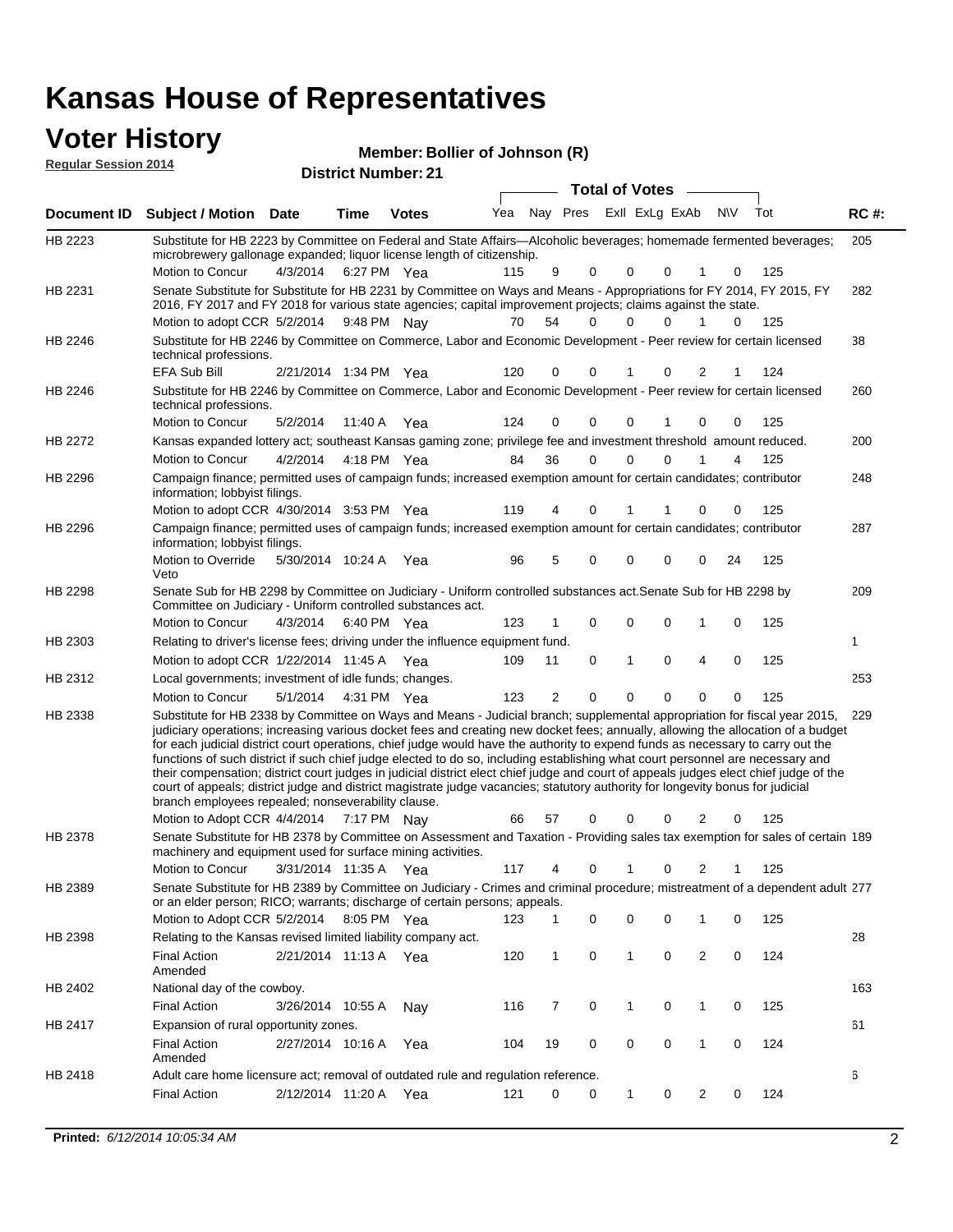| <b>Voter History</b>        |                                                                                                                                                                                                                                                                                                                                                                                                                                                                                                                                                                                                                                                                                                                                                                                                                                                                                                         |          |                       |                            | Member: Bollier of Johnson (R) |        |                         |        |                       |        |             |            |             |
|-----------------------------|---------------------------------------------------------------------------------------------------------------------------------------------------------------------------------------------------------------------------------------------------------------------------------------------------------------------------------------------------------------------------------------------------------------------------------------------------------------------------------------------------------------------------------------------------------------------------------------------------------------------------------------------------------------------------------------------------------------------------------------------------------------------------------------------------------------------------------------------------------------------------------------------------------|----------|-----------------------|----------------------------|--------------------------------|--------|-------------------------|--------|-----------------------|--------|-------------|------------|-------------|
| <b>Regular Session 2014</b> |                                                                                                                                                                                                                                                                                                                                                                                                                                                                                                                                                                                                                                                                                                                                                                                                                                                                                                         |          |                       | <b>District Number: 21</b> |                                |        |                         |        |                       |        |             |            |             |
|                             |                                                                                                                                                                                                                                                                                                                                                                                                                                                                                                                                                                                                                                                                                                                                                                                                                                                                                                         |          |                       |                            |                                |        |                         |        | <b>Total of Votes</b> |        |             |            |             |
| Document ID                 | Subject / Motion Date                                                                                                                                                                                                                                                                                                                                                                                                                                                                                                                                                                                                                                                                                                                                                                                                                                                                                   |          | Time                  | <b>Votes</b>               | Yea                            |        | Nay Pres ExII ExLg ExAb |        |                       |        | <b>NV</b>   | Tot        | <b>RC#:</b> |
| HB 2223                     | Substitute for HB 2223 by Committee on Federal and State Affairs—Alcoholic beverages; homemade fermented beverages;<br>microbrewery gallonage expanded; liquor license length of citizenship.<br>Motion to Concur                                                                                                                                                                                                                                                                                                                                                                                                                                                                                                                                                                                                                                                                                       | 4/3/2014 |                       | 6:27 PM Yea                | 115                            | 9      | 0                       | 0      | $\mathbf 0$           |        | 0           | 125        | 205         |
| HB 2231                     | Senate Substitute for Substitute for HB 2231 by Committee on Ways and Means - Appropriations for FY 2014, FY 2015, FY<br>2016, FY 2017 and FY 2018 for various state agencies; capital improvement projects; claims against the state.<br>Motion to adopt CCR 5/2/2014 9:48 PM Nay                                                                                                                                                                                                                                                                                                                                                                                                                                                                                                                                                                                                                      |          |                       |                            | 70                             | 54     | 0                       | 0      | $\Omega$              | 1      | 0           | 125        | 282         |
| HB 2246                     | Substitute for HB 2246 by Committee on Commerce, Labor and Economic Development - Peer review for certain licensed<br>technical professions.                                                                                                                                                                                                                                                                                                                                                                                                                                                                                                                                                                                                                                                                                                                                                            |          |                       |                            |                                |        |                         |        |                       |        |             |            | 38          |
| HB 2246                     | <b>EFA Sub Bill</b><br>Substitute for HB 2246 by Committee on Commerce, Labor and Economic Development - Peer review for certain licensed<br>technical professions.<br>Motion to Concur                                                                                                                                                                                                                                                                                                                                                                                                                                                                                                                                                                                                                                                                                                                 | 5/2/2014 | 2/21/2014 1:34 PM Yea | 11:40 A Yea                | 120<br>124                     | 0<br>0 | O<br>0                  | 0      | $\mathbf 0$           | 2<br>0 | 0           | 124<br>125 | 260         |
| <b>HB 2272</b>              | Kansas expanded lottery act; southeast Kansas gaming zone; privilege fee and investment threshold amount reduced.<br>Motion to Concur                                                                                                                                                                                                                                                                                                                                                                                                                                                                                                                                                                                                                                                                                                                                                                   | 4/2/2014 |                       | 4:18 PM Yea                | 84                             | 36     | $\Omega$                | 0      | $\mathbf 0$           | 1      | 4           | 125        | 200         |
| HB 2296                     | Campaign finance; permitted uses of campaign funds; increased exemption amount for certain candidates; contributor<br>information; lobbyist filings.<br>Motion to adopt CCR 4/30/2014 3:53 PM Yea                                                                                                                                                                                                                                                                                                                                                                                                                                                                                                                                                                                                                                                                                                       |          |                       |                            | 119                            | 4      | 0                       | 1      | 1                     | 0      | 0           | 125        | 248         |
| HB 2296                     | Campaign finance; permitted uses of campaign funds; increased exemption amount for certain candidates; contributor<br>information; lobbyist filings.<br>Motion to Override                                                                                                                                                                                                                                                                                                                                                                                                                                                                                                                                                                                                                                                                                                                              |          | 5/30/2014 10:24 A Yea |                            | 96                             | 5      | 0                       | 0      | $\mathbf 0$           | 0      | 24          | 125        | 287         |
| HB 2298                     | Veto<br>Senate Sub for HB 2298 by Committee on Judiciary - Uniform controlled substances act. Senate Sub for HB 2298 by<br>Committee on Judiciary - Uniform controlled substances act.<br>Motion to Concur                                                                                                                                                                                                                                                                                                                                                                                                                                                                                                                                                                                                                                                                                              | 4/3/2014 |                       | 6:40 PM Yea                | 123                            | 1      | 0                       | 0      | $\mathbf 0$           | 1      | 0           | 125        | 209         |
| HB 2303                     | Relating to driver's license fees; driving under the influence equipment fund.<br>Motion to adopt CCR 1/22/2014 11:45 A Yea                                                                                                                                                                                                                                                                                                                                                                                                                                                                                                                                                                                                                                                                                                                                                                             |          |                       |                            | 109                            | 11     | 0                       | 1      | $\mathbf 0$           | 4      | $\mathbf 0$ | 125        | 1           |
| HB 2312                     | Local governments; investment of idle funds; changes.<br>Motion to Concur                                                                                                                                                                                                                                                                                                                                                                                                                                                                                                                                                                                                                                                                                                                                                                                                                               | 5/1/2014 |                       | 4:31 PM Yea                | 123                            | 2      | $\Omega$                | 0      | $\Omega$              | 0      | 0           | 125        | 253         |
| HB 2338                     | Substitute for HB 2338 by Committee on Ways and Means - Judicial branch; supplemental appropriation for fiscal year 2015, 229<br>judiciary operations; increasing various docket fees and creating new docket fees; annually, allowing the allocation of a budget<br>for each judicial district court operations, chief judge would have the authority to expend funds as necessary to carry out the<br>functions of such district if such chief judge elected to do so, including establishing what court personnel are necessary and<br>their compensation; district court judges in judicial district elect chief judge and court of appeals judges elect chief judge of the<br>court of appeals; district judge and district magistrate judge vacancies; statutory authority for longevity bonus for judicial<br>branch employees repealed; nonseverability clause.<br>Motion to Adopt CCR 4/4/2014 |          |                       | 7:17 PM Nay                | 66                             | 57     | 0                       | 0      | 0                     | 2      | 0           | 125        |             |
| HB 2378                     | Senate Substitute for HB 2378 by Committee on Assessment and Taxation - Providing sales tax exemption for sales of certain 189<br>machinery and equipment used for surface mining activities.                                                                                                                                                                                                                                                                                                                                                                                                                                                                                                                                                                                                                                                                                                           |          |                       |                            |                                |        |                         |        |                       |        |             |            |             |
| HB 2389                     | Motion to Concur<br>Senate Substitute for HB 2389 by Committee on Judiciary - Crimes and criminal procedure; mistreatment of a dependent adult 277<br>or an elder person; RICO; warrants; discharge of certain persons; appeals.                                                                                                                                                                                                                                                                                                                                                                                                                                                                                                                                                                                                                                                                        |          | 3/31/2014 11:35 A Yea |                            | 117                            | 4      | 0                       | 1      | 0                     | 2      | 1           | 125        |             |
| HB 2398                     | Motion to Adopt CCR 5/2/2014 8:05 PM Yea<br>Relating to the Kansas revised limited liability company act.<br><b>Final Action</b><br>Amended                                                                                                                                                                                                                                                                                                                                                                                                                                                                                                                                                                                                                                                                                                                                                             |          | 2/21/2014 11:13 A Yea |                            | 123<br>120                     | 1<br>1 | 0<br>0                  | 0<br>1 | 0<br>0                | 1<br>2 | 0<br>0      | 125<br>124 | 28          |

|                | <b>Final Action</b><br>Amended                                                    | 2/21/2014 11:13 A |         | Yea | 120 |    |  | 0 |  | 124 |     |
|----------------|-----------------------------------------------------------------------------------|-------------------|---------|-----|-----|----|--|---|--|-----|-----|
| HB 2402        | National day of the cowboy.                                                       |                   |         |     |     |    |  |   |  |     | 163 |
|                | <b>Final Action</b>                                                               | 3/26/2014         | 10:55 A | Nav | 116 |    |  |   |  | 125 |     |
| <b>HB 2417</b> | Expansion of rural opportunity zones.                                             |                   |         |     |     |    |  |   |  |     | 61  |
|                | <b>Final Action</b><br>Amended                                                    | 2/27/2014         | 10:16 A | Yea | 104 | 19 |  |   |  | 124 |     |
| HB 2418        | Adult care home licensure act; removal of outdated rule and regulation reference. |                   |         |     |     |    |  |   |  |     | 6   |
|                | <b>Final Action</b>                                                               | 2/12/2014         | 11:20 A | Yea | 121 |    |  |   |  | 124 |     |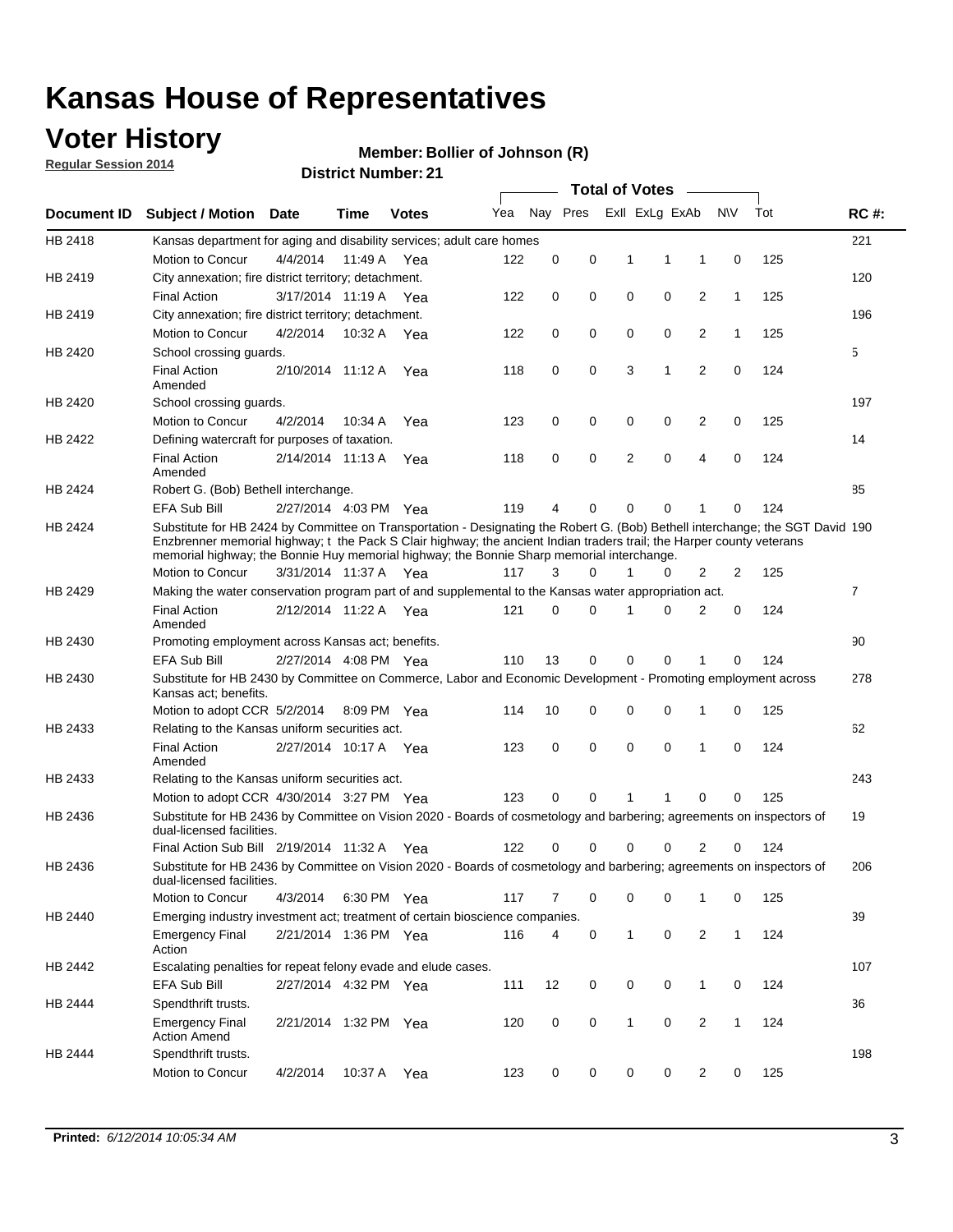### **Voter History**

**Regular Session 2014**

#### **Member: Bollier of Johnson (R)**

|                    |                                                                                                                                                                                                                                                                                                                                                      |                       | DISTRICT MAILING T. Z. |              |     |          |          |   | <b>Total of Votes</b> | $\sim$         |              |     |                |
|--------------------|------------------------------------------------------------------------------------------------------------------------------------------------------------------------------------------------------------------------------------------------------------------------------------------------------------------------------------------------------|-----------------------|------------------------|--------------|-----|----------|----------|---|-----------------------|----------------|--------------|-----|----------------|
| <b>Document ID</b> | <b>Subject / Motion</b>                                                                                                                                                                                                                                                                                                                              | Date                  | Time                   | <b>Votes</b> | Yea |          | Nay Pres |   | Exll ExLg ExAb        |                | <b>NV</b>    | Tot | <b>RC#:</b>    |
| HB 2418            | Kansas department for aging and disability services; adult care homes                                                                                                                                                                                                                                                                                |                       |                        |              |     |          |          |   |                       |                |              |     | 221            |
|                    | Motion to Concur                                                                                                                                                                                                                                                                                                                                     | 4/4/2014              | 11:49 A                | Yea          | 122 | 0        | 0        | 1 | 1                     | 1              | 0            | 125 |                |
| HB 2419            | City annexation; fire district territory; detachment.                                                                                                                                                                                                                                                                                                |                       |                        |              |     |          |          |   |                       |                |              |     | 120            |
|                    | <b>Final Action</b>                                                                                                                                                                                                                                                                                                                                  | 3/17/2014 11:19 A Yea |                        |              | 122 | 0        | 0        | 0 | 0                     | 2              | $\mathbf{1}$ | 125 |                |
| HB 2419            | City annexation; fire district territory; detachment.                                                                                                                                                                                                                                                                                                |                       |                        |              |     |          |          |   |                       |                |              |     | 196            |
|                    | Motion to Concur                                                                                                                                                                                                                                                                                                                                     | 4/2/2014              | 10:32 A Yea            |              | 122 | 0        | 0        | 0 | 0                     | 2              | $\mathbf{1}$ | 125 |                |
| HB 2420            | School crossing guards.                                                                                                                                                                                                                                                                                                                              |                       |                        |              |     |          |          |   |                       |                |              |     | 5              |
|                    | <b>Final Action</b><br>Amended                                                                                                                                                                                                                                                                                                                       | 2/10/2014 11:12 A     |                        | Yea          | 118 | 0        | 0        | 3 | 1                     | $\overline{2}$ | 0            | 124 |                |
| HB 2420            | School crossing guards.                                                                                                                                                                                                                                                                                                                              |                       |                        |              |     |          |          |   |                       |                |              |     | 197            |
|                    | Motion to Concur                                                                                                                                                                                                                                                                                                                                     | 4/2/2014              | 10:34 A                | Yea          | 123 | 0        | 0        | 0 | 0                     | 2              | 0            | 125 |                |
| HB 2422            | Defining watercraft for purposes of taxation.                                                                                                                                                                                                                                                                                                        |                       |                        |              |     |          |          |   |                       |                |              |     | 14             |
|                    | <b>Final Action</b><br>Amended                                                                                                                                                                                                                                                                                                                       | 2/14/2014 11:13 A     |                        | Yea          | 118 | 0        | 0        | 2 | $\mathbf 0$           | 4              | 0            | 124 |                |
| HB 2424            | Robert G. (Bob) Bethell interchange.                                                                                                                                                                                                                                                                                                                 |                       |                        |              |     |          |          |   |                       |                |              |     | 85             |
|                    | <b>EFA Sub Bill</b>                                                                                                                                                                                                                                                                                                                                  | 2/27/2014 4:03 PM Yea |                        |              | 119 | 4        | 0        | 0 | $\mathbf 0$           | 1              | 0            | 124 |                |
| HB 2424            | Substitute for HB 2424 by Committee on Transportation - Designating the Robert G. (Bob) Bethell interchange; the SGT David 190<br>Enzbrenner memorial highway; t the Pack S Clair highway; the ancient Indian traders trail; the Harper county veterans<br>memorial highway; the Bonnie Huy memorial highway; the Bonnie Sharp memorial interchange. |                       |                        |              |     |          |          |   |                       |                |              |     |                |
|                    | Motion to Concur                                                                                                                                                                                                                                                                                                                                     | 3/31/2014 11:37 A Yea |                        |              | 117 | 3        | $\Omega$ | 1 | 0                     | 2              | 2            | 125 |                |
| HB 2429            | Making the water conservation program part of and supplemental to the Kansas water appropriation act.                                                                                                                                                                                                                                                |                       |                        |              |     |          |          |   |                       |                |              |     | $\overline{7}$ |
|                    | <b>Final Action</b><br>Amended                                                                                                                                                                                                                                                                                                                       | 2/12/2014 11:22 A Yea |                        |              | 121 | $\Omega$ | 0        | 1 | $\Omega$              | 2              | 0            | 124 |                |
| HB 2430            | Promoting employment across Kansas act; benefits.                                                                                                                                                                                                                                                                                                    |                       |                        |              |     |          |          |   |                       |                |              |     | 90             |
|                    | <b>EFA Sub Bill</b>                                                                                                                                                                                                                                                                                                                                  | 2/27/2014 4:08 PM Yea |                        |              | 110 | 13       | 0        | 0 | 0                     | 1              | 0            | 124 |                |
| HB 2430            | Substitute for HB 2430 by Committee on Commerce, Labor and Economic Development - Promoting employment across<br>Kansas act; benefits.                                                                                                                                                                                                               |                       |                        |              |     |          |          |   |                       |                |              |     | 278            |
|                    | Motion to adopt CCR 5/2/2014                                                                                                                                                                                                                                                                                                                         |                       | 8:09 PM Yea            |              | 114 | 10       | 0        | 0 | 0                     | 1              | 0            | 125 |                |
| HB 2433            | Relating to the Kansas uniform securities act.                                                                                                                                                                                                                                                                                                       |                       |                        |              |     |          |          |   |                       |                |              |     | 62             |
|                    | <b>Final Action</b><br>Amended                                                                                                                                                                                                                                                                                                                       | 2/27/2014 10:17 A Yea |                        |              | 123 | 0        | 0        | 0 | $\mathbf 0$           | 1              | 0            | 124 |                |
| HB 2433            | Relating to the Kansas uniform securities act.                                                                                                                                                                                                                                                                                                       |                       |                        |              |     |          |          |   |                       |                |              |     | 243            |
|                    | Motion to adopt CCR 4/30/2014 3:27 PM Yea                                                                                                                                                                                                                                                                                                            |                       |                        |              | 123 | $\Omega$ | 0        | 1 | 1                     | 0              | 0            | 125 |                |
| HB 2436            | Substitute for HB 2436 by Committee on Vision 2020 - Boards of cosmetology and barbering; agreements on inspectors of<br>dual-licensed facilities.                                                                                                                                                                                                   |                       |                        |              |     |          |          |   |                       |                |              |     | 19             |
|                    | Final Action Sub Bill 2/19/2014 11:32 A                                                                                                                                                                                                                                                                                                              |                       |                        | Yea          | 122 | O        | 0        | 0 | 0                     | 2              | 0            | 124 |                |
| HB 2436            | Substitute for HB 2436 by Committee on Vision 2020 - Boards of cosmetology and barbering; agreements on inspectors of<br>dual-licensed facilities.                                                                                                                                                                                                   |                       |                        |              |     |          |          |   |                       |                |              |     | 206            |
|                    | Motion to Concur                                                                                                                                                                                                                                                                                                                                     | 4/3/2014              | 6:30 PM Yea            |              | 117 | 7        | 0        | 0 | 0                     | $\mathbf{1}$   | 0            | 125 |                |
| HB 2440            | Emerging industry investment act; treatment of certain bioscience companies.                                                                                                                                                                                                                                                                         |                       |                        |              |     |          |          |   |                       |                |              |     | 39             |
|                    | <b>Emergency Final</b><br>Action                                                                                                                                                                                                                                                                                                                     | 2/21/2014 1:36 PM Yea |                        |              | 116 | 4        | 0        | 1 | 0                     | 2              | $\mathbf{1}$ | 124 |                |
| HB 2442            | Escalating penalties for repeat felony evade and elude cases.                                                                                                                                                                                                                                                                                        |                       |                        |              |     |          |          |   |                       |                |              |     | 107            |
|                    | EFA Sub Bill                                                                                                                                                                                                                                                                                                                                         | 2/27/2014 4:32 PM Yea |                        |              | 111 | 12       | 0        | 0 | 0                     | $\mathbf{1}$   | 0            | 124 |                |
| HB 2444            | Spendthrift trusts.                                                                                                                                                                                                                                                                                                                                  |                       |                        |              |     |          |          |   |                       |                |              |     | 36             |
|                    | <b>Emergency Final</b><br><b>Action Amend</b>                                                                                                                                                                                                                                                                                                        | 2/21/2014 1:32 PM Yea |                        |              | 120 | 0        | 0        | 1 | 0                     | $\overline{2}$ | $\mathbf{1}$ | 124 |                |
| HB 2444            | Spendthrift trusts.                                                                                                                                                                                                                                                                                                                                  |                       |                        |              |     |          |          |   |                       |                |              |     | 198            |
|                    | Motion to Concur                                                                                                                                                                                                                                                                                                                                     | 4/2/2014              | 10:37 A Yea            |              | 123 | 0        | 0        | 0 | 0                     | $\overline{2}$ | 0            | 125 |                |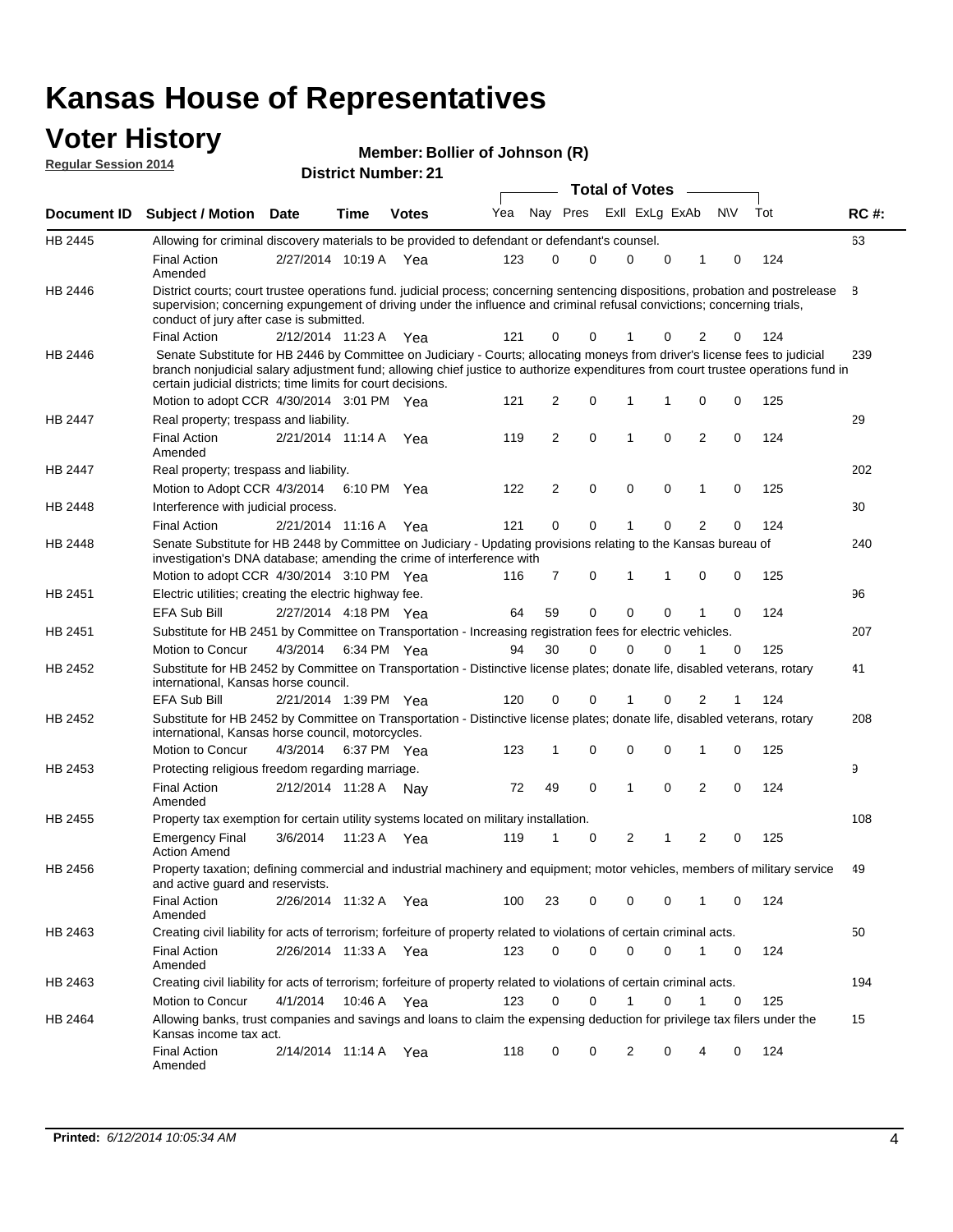### **Voter History Regular Session 2014**

| Member: Bollier of Johnson (R) |  |
|--------------------------------|--|
|--------------------------------|--|

| <b>District Number: 21</b> |  |  |
|----------------------------|--|--|

|                    |                                                                                                                                                                                                                                                                                                                                 |                       |      |              |     |          | <b>Total of Votes</b> |  |                |   |                |             |     |             |
|--------------------|---------------------------------------------------------------------------------------------------------------------------------------------------------------------------------------------------------------------------------------------------------------------------------------------------------------------------------|-----------------------|------|--------------|-----|----------|-----------------------|--|----------------|---|----------------|-------------|-----|-------------|
| <b>Document ID</b> | <b>Subject / Motion Date</b>                                                                                                                                                                                                                                                                                                    |                       | Time | <b>Votes</b> | Yea | Nay Pres |                       |  | Exll ExLg ExAb |   |                | <b>NV</b>   | Tot | <b>RC#:</b> |
| HB 2445            | Allowing for criminal discovery materials to be provided to defendant or defendant's counsel.                                                                                                                                                                                                                                   |                       |      |              |     |          |                       |  |                |   |                |             |     | 63          |
|                    | <b>Final Action</b><br>Amended                                                                                                                                                                                                                                                                                                  | 2/27/2014 10:19 A     |      | Yea          | 123 | 0        | 0                     |  | $\Omega$       | 0 | 1              | 0           | 124 |             |
| HB 2446            | District courts; court trustee operations fund. judicial process; concerning sentencing dispositions, probation and postrelease<br>supervision; concerning expungement of driving under the influence and criminal refusal convictions; concerning trials,<br>conduct of jury after case is submitted.                          |                       |      |              |     |          |                       |  |                |   |                |             |     | 8           |
|                    | <b>Final Action</b>                                                                                                                                                                                                                                                                                                             | 2/12/2014 11:23 A     |      | Yea          | 121 | 0        | 0                     |  | 1              | 0 | 2              | 0           | 124 |             |
| HB 2446            | Senate Substitute for HB 2446 by Committee on Judiciary - Courts; allocating moneys from driver's license fees to judicial<br>branch nonjudicial salary adjustment fund; allowing chief justice to authorize expenditures from court trustee operations fund in<br>certain judicial districts; time limits for court decisions. |                       |      |              |     |          |                       |  |                |   |                |             |     | 239         |
|                    | Motion to adopt CCR 4/30/2014 3:01 PM Yea                                                                                                                                                                                                                                                                                       |                       |      |              | 121 | 2        | 0                     |  | 1              | 1 | 0              | 0           | 125 |             |
| <b>HB 2447</b>     | Real property; trespass and liability.                                                                                                                                                                                                                                                                                          |                       |      |              |     |          |                       |  |                |   |                |             |     | 29          |
|                    | <b>Final Action</b><br>Amended                                                                                                                                                                                                                                                                                                  | 2/21/2014 11:14 A     |      | Yea          | 119 | 2        | 0                     |  | 1              | 0 | $\overline{2}$ | 0           | 124 |             |
| HB 2447            | Real property; trespass and liability.                                                                                                                                                                                                                                                                                          |                       |      |              |     |          |                       |  |                |   |                |             |     | 202         |
|                    | Motion to Adopt CCR 4/3/2014                                                                                                                                                                                                                                                                                                    |                       |      | 6:10 PM Yea  | 122 | 2        | 0                     |  | $\mathbf 0$    | 0 | 1              | 0           | 125 |             |
| HB 2448            | Interference with judicial process.                                                                                                                                                                                                                                                                                             |                       |      |              |     |          |                       |  |                |   |                |             |     | 30          |
|                    | <b>Final Action</b>                                                                                                                                                                                                                                                                                                             | 2/21/2014 11:16 A Yea |      |              | 121 | 0        | 0                     |  | 1              | 0 | $\overline{2}$ | 0           | 124 |             |
| HB 2448            | Senate Substitute for HB 2448 by Committee on Judiciary - Updating provisions relating to the Kansas bureau of<br>investigation's DNA database; amending the crime of interference with                                                                                                                                         |                       |      |              |     |          |                       |  |                |   |                |             |     | 240         |
|                    | Motion to adopt CCR 4/30/2014 3:10 PM Yea                                                                                                                                                                                                                                                                                       |                       |      |              | 116 | 7        | 0                     |  | 1              | 1 | $\mathbf 0$    | 0           | 125 |             |
| HB 2451            | Electric utilities; creating the electric highway fee.                                                                                                                                                                                                                                                                          |                       |      |              |     |          |                       |  |                |   |                |             |     | 96          |
|                    | <b>EFA Sub Bill</b>                                                                                                                                                                                                                                                                                                             | 2/27/2014 4:18 PM Yea |      |              | 64  | 59       | 0                     |  | $\Omega$       | 0 | 1              | 0           | 124 |             |
| HB 2451            | Substitute for HB 2451 by Committee on Transportation - Increasing registration fees for electric vehicles.                                                                                                                                                                                                                     |                       |      |              |     |          |                       |  |                |   |                |             |     | 207         |
|                    | Motion to Concur                                                                                                                                                                                                                                                                                                                | 4/3/2014              |      | 6:34 PM Yea  | 94  | 30       | 0                     |  | $\Omega$       | 0 |                | 0           | 125 |             |
| HB 2452            | Substitute for HB 2452 by Committee on Transportation - Distinctive license plates; donate life, disabled veterans, rotary<br>international, Kansas horse council.                                                                                                                                                              |                       |      |              |     |          |                       |  |                |   |                |             |     | 41          |
|                    | <b>EFA Sub Bill</b>                                                                                                                                                                                                                                                                                                             | 2/21/2014 1:39 PM Yea |      |              | 120 | 0        | 0                     |  |                | 0 | 2              | 1           | 124 |             |
| HB 2452            | Substitute for HB 2452 by Committee on Transportation - Distinctive license plates; donate life, disabled veterans, rotary<br>international, Kansas horse council, motorcycles.                                                                                                                                                 |                       |      |              |     |          |                       |  |                |   |                |             |     | 208         |
|                    | Motion to Concur                                                                                                                                                                                                                                                                                                                | 4/3/2014              |      | 6:37 PM Yea  | 123 | 1        | 0                     |  | 0              | 0 | 1              | 0           | 125 |             |
| HB 2453            | Protecting religious freedom regarding marriage.                                                                                                                                                                                                                                                                                |                       |      |              |     |          |                       |  |                |   |                |             |     | 9           |
|                    | <b>Final Action</b><br>Amended                                                                                                                                                                                                                                                                                                  | 2/12/2014 11:28 A Nay |      |              | 72  | 49       | 0                     |  | 1              | 0 | $\overline{2}$ | 0           | 124 |             |
| HB 2455            | Property tax exemption for certain utility systems located on military installation.                                                                                                                                                                                                                                            |                       |      |              |     |          |                       |  |                |   |                |             |     | 108         |
|                    | <b>Emergency Final</b><br><b>Action Amend</b>                                                                                                                                                                                                                                                                                   | 3/6/2014              |      | 11:23 A Yea  | 119 | 1        | 0                     |  | 2              | 1 | $\overline{2}$ | $\mathbf 0$ | 125 |             |
| HB 2456            | Property taxation; defining commercial and industrial machinery and equipment; motor vehicles, members of military service<br>and active guard and reservists.                                                                                                                                                                  |                       |      |              |     |          |                       |  |                |   |                |             |     | 49          |
|                    | <b>Final Action</b><br>Amended                                                                                                                                                                                                                                                                                                  | 2/26/2014 11:32 A Yea |      |              | 100 | 23       | 0                     |  | 0              | 0 | 1              | 0           | 124 |             |
| HB 2463            | Creating civil liability for acts of terrorism; forfeiture of property related to violations of certain criminal acts.                                                                                                                                                                                                          |                       |      |              |     |          |                       |  |                |   |                |             |     | 50          |
|                    | <b>Final Action</b><br>Amended                                                                                                                                                                                                                                                                                                  | 2/26/2014 11:33 A Yea |      |              | 123 | 0        | 0                     |  | $\mathbf 0$    | 0 | $\mathbf{1}$   | 0           | 124 |             |
| HB 2463            | Creating civil liability for acts of terrorism; forfeiture of property related to violations of certain criminal acts.                                                                                                                                                                                                          |                       |      |              |     |          |                       |  |                |   |                |             |     | 194         |
|                    | Motion to Concur                                                                                                                                                                                                                                                                                                                | 4/1/2014              |      | 10:46 A Yea  | 123 | 0        | 0                     |  | $\mathbf{1}$   | 0 | 1              | 0           | 125 |             |
| HB 2464            | Allowing banks, trust companies and savings and loans to claim the expensing deduction for privilege tax filers under the<br>Kansas income tax act.                                                                                                                                                                             |                       |      |              |     |          |                       |  |                |   |                |             |     | 15          |
|                    | <b>Final Action</b><br>Amended                                                                                                                                                                                                                                                                                                  | 2/14/2014 11:14 A Yea |      |              | 118 | 0        | 0                     |  | 2              | 0 |                | 0           | 124 |             |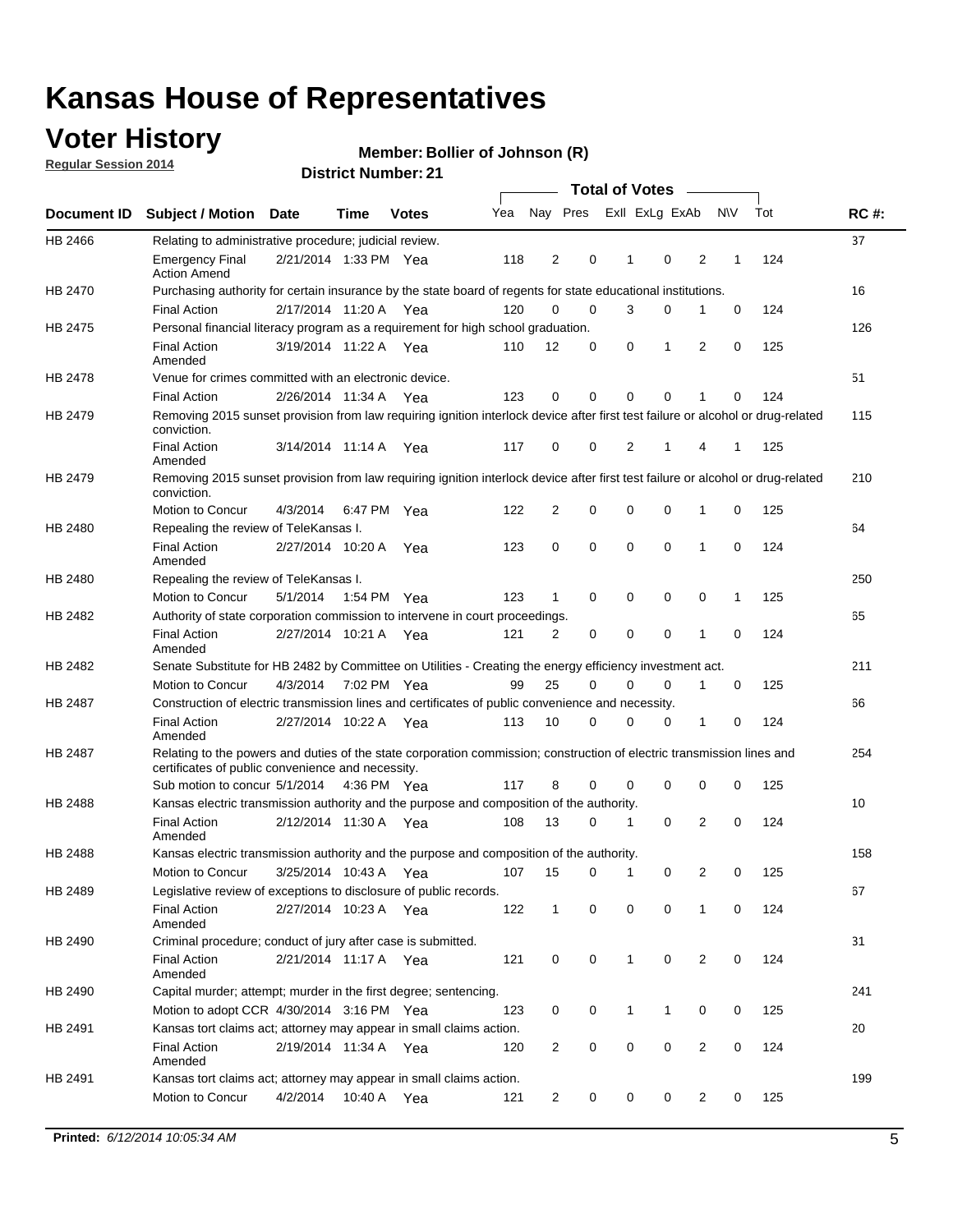## **Voter History**

**Regular Session 2014**

#### **Member: Bollier of Johnson (R)**

|                    |                                                                                                                                                                             |                       |             |              |     |                | <b>Total of Votes</b> |   |              |                |                |              |     |             |
|--------------------|-----------------------------------------------------------------------------------------------------------------------------------------------------------------------------|-----------------------|-------------|--------------|-----|----------------|-----------------------|---|--------------|----------------|----------------|--------------|-----|-------------|
| <b>Document ID</b> | <b>Subject / Motion Date</b>                                                                                                                                                |                       | Time        | <b>Votes</b> | Yea |                | Nay Pres              |   |              | Exll ExLg ExAb |                | <b>NV</b>    | Tot | <b>RC#:</b> |
| HB 2466            | Relating to administrative procedure; judicial review.                                                                                                                      |                       |             |              |     |                |                       |   |              |                |                |              |     | 37          |
|                    | <b>Emergency Final</b><br><b>Action Amend</b>                                                                                                                               | 2/21/2014 1:33 PM Yea |             |              | 118 | 2              | 0                     |   | 1            | 0              | 2              | 1            | 124 |             |
| HB 2470            | Purchasing authority for certain insurance by the state board of regents for state educational institutions.                                                                |                       |             |              |     |                |                       |   |              |                |                |              |     | 16          |
|                    | <b>Final Action</b>                                                                                                                                                         | 2/17/2014 11:20 A Yea |             |              | 120 | 0              | 0                     |   | 3            | 0              | 1              | 0            | 124 |             |
| HB 2475            | Personal financial literacy program as a requirement for high school graduation.                                                                                            |                       |             |              |     |                |                       |   |              |                |                |              |     | 126         |
|                    | <b>Final Action</b><br>Amended                                                                                                                                              | 3/19/2014 11:22 A Yea |             |              | 110 | 12             |                       | 0 | 0            | 1              | 2              | $\mathbf 0$  | 125 |             |
| <b>HB 2478</b>     | Venue for crimes committed with an electronic device.                                                                                                                       |                       |             |              |     |                |                       |   |              |                |                |              |     | 51          |
|                    | <b>Final Action</b>                                                                                                                                                         | 2/26/2014 11:34 A     |             | Yea          | 123 | 0              |                       | 0 | $\Omega$     | 0              | 1              | 0            | 124 |             |
| HB 2479            | Removing 2015 sunset provision from law requiring ignition interlock device after first test failure or alcohol or drug-related<br>conviction.                              |                       |             |              |     |                |                       |   |              |                |                |              |     | 115         |
|                    | <b>Final Action</b><br>Amended                                                                                                                                              | 3/14/2014 11:14 A     |             | Yea          | 117 | 0              | 0                     |   | 2            | 1              | 4              | 1            | 125 |             |
| HB 2479            | Removing 2015 sunset provision from law requiring ignition interlock device after first test failure or alcohol or drug-related<br>conviction.                              |                       |             |              |     |                |                       |   |              |                |                |              |     | 210         |
|                    | Motion to Concur                                                                                                                                                            | 4/3/2014              |             | 6:47 PM Yea  | 122 | $\overline{2}$ |                       | 0 | 0            | 0              | 1              | 0            | 125 |             |
| HB 2480            | Repealing the review of TeleKansas I.                                                                                                                                       |                       |             |              |     |                |                       |   |              |                |                |              |     | 64          |
|                    | <b>Final Action</b><br>Amended                                                                                                                                              | 2/27/2014 10:20 A Yea |             |              | 123 | 0              | 0                     |   | $\mathbf 0$  | 0              | 1              | 0            | 124 |             |
| HB 2480            | Repealing the review of TeleKansas I.                                                                                                                                       |                       |             |              |     |                |                       |   |              |                |                |              |     | 250         |
|                    | Motion to Concur                                                                                                                                                            | 5/1/2014              | 1:54 PM Yea |              | 123 | 1              | 0                     |   | 0            | 0              | 0              | $\mathbf{1}$ | 125 |             |
| HB 2482            | Authority of state corporation commission to intervene in court proceedings.                                                                                                |                       |             |              |     |                |                       |   |              |                |                |              |     | 65          |
|                    | <b>Final Action</b><br>Amended                                                                                                                                              | 2/27/2014 10:21 A     |             | Yea          | 121 | 2              |                       | 0 | 0            | 0              | 1              | 0            | 124 |             |
| HB 2482            | Senate Substitute for HB 2482 by Committee on Utilities - Creating the energy efficiency investment act.                                                                    |                       |             |              |     |                |                       |   |              |                |                |              |     | 211         |
|                    | Motion to Concur                                                                                                                                                            | 4/3/2014 7:02 PM Yea  |             |              | 99  | 25             |                       | 0 | 0            | 0              | 1              | 0            | 125 |             |
| HB 2487            | Construction of electric transmission lines and certificates of public convenience and necessity.                                                                           |                       |             |              |     |                |                       |   |              |                |                |              |     | 66          |
|                    | <b>Final Action</b><br>Amended                                                                                                                                              | 2/27/2014 10:22 A Yea |             |              | 113 | 10             |                       | 0 | 0            | 0              | 1              | 0            | 124 |             |
| HB 2487            | Relating to the powers and duties of the state corporation commission; construction of electric transmission lines and<br>certificates of public convenience and necessity. |                       |             |              |     |                |                       |   |              |                |                |              |     | 254         |
|                    | Sub motion to concur 5/1/2014 4:36 PM Yea                                                                                                                                   |                       |             |              | 117 | 8              |                       | 0 | 0            | $\mathbf 0$    | 0              | 0            | 125 |             |
| HB 2488            | Kansas electric transmission authority and the purpose and composition of the authority.                                                                                    |                       |             |              |     |                |                       |   |              |                |                |              |     | 10          |
|                    | <b>Final Action</b><br>Amended                                                                                                                                              | 2/12/2014 11:30 A Yea |             |              | 108 | 13             |                       | 0 | 1            | $\mathbf 0$    | 2              | $\mathbf 0$  | 124 |             |
| <b>HB 2488</b>     | Kansas electric transmission authority and the purpose and composition of the authority.                                                                                    |                       |             |              |     |                |                       |   |              |                |                |              |     | 158         |
|                    | Motion to Concur                                                                                                                                                            | 3/25/2014 10:43 A     |             | Yea          | 107 | 15             |                       | 0 | 1            | 0              | 2              | 0            | 125 |             |
| HB 2489            | Legislative review of exceptions to disclosure of public records.                                                                                                           |                       |             |              |     |                |                       |   |              |                |                |              |     | 67          |
|                    | <b>Final Action</b><br>Amended                                                                                                                                              | 2/27/2014 10:23 A Yea |             |              | 122 | $\mathbf{1}$   |                       | 0 | 0            | 0              | 1              | 0            | 124 |             |
| HB 2490            | Criminal procedure; conduct of jury after case is submitted.                                                                                                                |                       |             |              |     |                |                       |   |              |                |                |              |     | 31          |
|                    | <b>Final Action</b><br>Amended                                                                                                                                              | 2/21/2014 11:17 A Yea |             |              | 121 | 0              |                       | 0 | $\mathbf{1}$ | $\mathbf 0$    | $\overline{2}$ | 0            | 124 |             |
| HB 2490            | Capital murder; attempt; murder in the first degree; sentencing.                                                                                                            |                       |             |              |     |                |                       |   |              |                |                |              |     | 241         |
|                    | Motion to adopt CCR 4/30/2014 3:16 PM Yea                                                                                                                                   |                       |             |              | 123 | 0              |                       | 0 | $\mathbf{1}$ | 1              | 0              | 0            | 125 |             |
| HB 2491            | Kansas tort claims act; attorney may appear in small claims action.                                                                                                         |                       |             |              |     |                |                       |   |              |                |                |              |     | 20          |
|                    | <b>Final Action</b><br>Amended                                                                                                                                              | 2/19/2014 11:34 A Yea |             |              | 120 | $\overline{2}$ |                       | 0 | 0            | 0              | 2              | 0            | 124 |             |
| HB 2491            | Kansas tort claims act; attorney may appear in small claims action.                                                                                                         |                       |             |              |     |                |                       |   |              |                |                |              |     | 199         |
|                    | Motion to Concur                                                                                                                                                            | 4/2/2014              |             | 10:40 A Yea  | 121 | $\overline{2}$ |                       | 0 | 0            | 0              | $\overline{2}$ | 0            | 125 |             |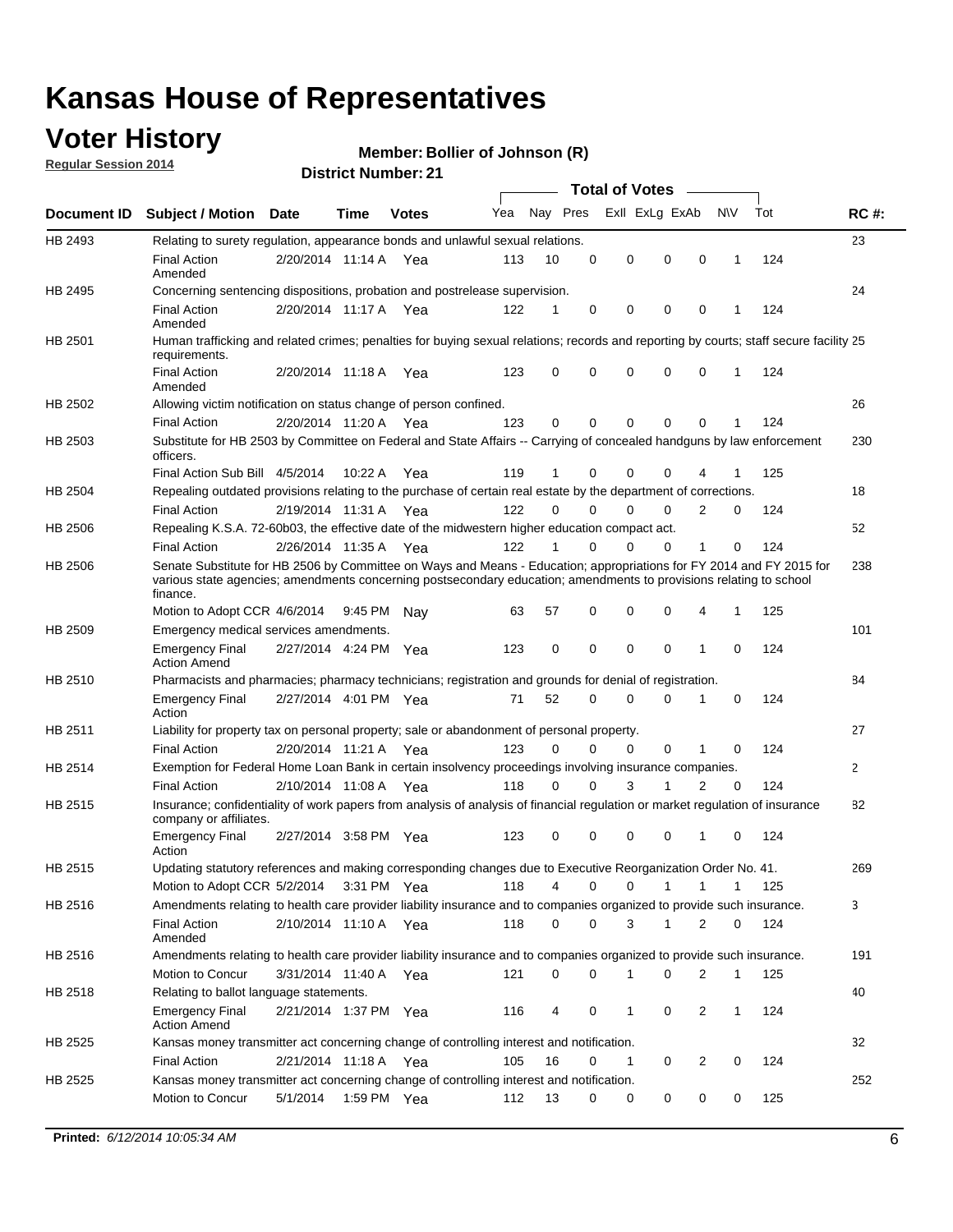### **Voter History**

**Regular Session 2014**

#### **Member: Bollier of Johnson (R)**

|             |                                                                                                                                                                                                                                                        |                       |             | <b>DISTRICT MAILINGLES</b> |     |          |          | Total of Votes – |             |                |              |     |              |
|-------------|--------------------------------------------------------------------------------------------------------------------------------------------------------------------------------------------------------------------------------------------------------|-----------------------|-------------|----------------------------|-----|----------|----------|------------------|-------------|----------------|--------------|-----|--------------|
| Document ID | <b>Subject / Motion Date</b>                                                                                                                                                                                                                           |                       | Time        | <b>Votes</b>               | Yea |          | Nay Pres | Exll ExLg ExAb   |             |                | N\V          | Tot | <b>RC#:</b>  |
| HB 2493     | Relating to surety regulation, appearance bonds and unlawful sexual relations.                                                                                                                                                                         |                       |             |                            |     |          |          |                  |             |                |              |     | 23           |
|             | <b>Final Action</b><br>Amended                                                                                                                                                                                                                         | 2/20/2014 11:14 A Yea |             |                            | 113 | 10       | 0        | 0                | $\mathbf 0$ | $\mathbf 0$    | $\mathbf 1$  | 124 |              |
| HB 2495     | Concerning sentencing dispositions, probation and postrelease supervision.                                                                                                                                                                             |                       |             |                            |     |          |          |                  |             |                |              |     | 24           |
|             | <b>Final Action</b><br>Amended                                                                                                                                                                                                                         | 2/20/2014 11:17 A     |             | Yea                        | 122 | 1        | 0        | 0                | 0           | $\mathbf 0$    | -1           | 124 |              |
| HB 2501     | Human trafficking and related crimes; penalties for buying sexual relations; records and reporting by courts; staff secure facility 25<br>requirements.                                                                                                |                       |             |                            |     |          |          |                  |             |                |              |     |              |
|             | <b>Final Action</b><br>Amended                                                                                                                                                                                                                         | 2/20/2014 11:18 A Yea |             |                            | 123 | 0        | $\Omega$ | 0                | $\Omega$    | $\mathbf 0$    | 1            | 124 |              |
| HB 2502     | Allowing victim notification on status change of person confined.                                                                                                                                                                                      |                       |             |                            |     |          |          |                  |             |                |              |     | 26           |
|             | <b>Final Action</b>                                                                                                                                                                                                                                    | 2/20/2014 11:20 A Yea |             |                            | 123 | 0        | 0        | 0                | 0           | $\mathbf 0$    |              | 124 |              |
| HB 2503     | Substitute for HB 2503 by Committee on Federal and State Affairs -- Carrying of concealed handguns by law enforcement<br>officers.                                                                                                                     |                       |             |                            |     |          |          |                  |             |                |              |     | 230          |
|             | Final Action Sub Bill 4/5/2014                                                                                                                                                                                                                         |                       | 10:22A      | Yea                        | 119 | 1        | 0        | 0                | 0           |                |              | 125 |              |
| HB 2504     | Repealing outdated provisions relating to the purchase of certain real estate by the department of corrections.                                                                                                                                        |                       |             |                            |     |          |          |                  |             |                |              |     | 18           |
|             | <b>Final Action</b>                                                                                                                                                                                                                                    | 2/19/2014 11:31 A     |             | Yea                        | 122 | $\Omega$ | $\Omega$ | 0                | 0           | $\overline{2}$ | 0            | 124 |              |
| HB 2506     | Repealing K.S.A. 72-60b03, the effective date of the midwestern higher education compact act.                                                                                                                                                          |                       |             |                            |     |          |          |                  |             |                |              |     | 52           |
|             | <b>Final Action</b>                                                                                                                                                                                                                                    | 2/26/2014 11:35 A Yea |             |                            | 122 | 1        | 0        | 0                | 0           | 1              | 0            | 124 |              |
| HB 2506     | Senate Substitute for HB 2506 by Committee on Ways and Means - Education; appropriations for FY 2014 and FY 2015 for<br>various state agencies; amendments concerning postsecondary education; amendments to provisions relating to school<br>finance. |                       |             |                            |     |          |          |                  |             |                |              |     | 238          |
|             | Motion to Adopt CCR 4/6/2014                                                                                                                                                                                                                           |                       | 9:45 PM Nav |                            | 63  | 57       | 0        | 0                | 0           | 4              | $\mathbf{1}$ | 125 |              |
| HB 2509     | Emergency medical services amendments.                                                                                                                                                                                                                 |                       |             |                            |     |          |          |                  |             |                |              |     | 101          |
|             | <b>Emergency Final</b><br><b>Action Amend</b>                                                                                                                                                                                                          | 2/27/2014 4:24 PM Yea |             |                            | 123 | 0        | $\Omega$ | $\Omega$         | $\Omega$    | 1              | $\Omega$     | 124 |              |
| HB 2510     | Pharmacists and pharmacies; pharmacy technicians; registration and grounds for denial of registration.                                                                                                                                                 |                       |             |                            |     |          |          |                  |             |                |              |     | 84           |
|             | <b>Emergency Final</b><br>Action                                                                                                                                                                                                                       | 2/27/2014 4:01 PM Yea |             |                            | 71  | 52       | $\Omega$ | 0                | 0           | 1              | 0            | 124 |              |
| HB 2511     | Liability for property tax on personal property; sale or abandonment of personal property.                                                                                                                                                             |                       |             |                            |     |          |          |                  |             |                |              |     | 27           |
|             | <b>Final Action</b>                                                                                                                                                                                                                                    | 2/20/2014 11:21 A Yea |             |                            | 123 | $\Omega$ | 0        | 0                | 0           | 1              | 0            | 124 |              |
| HB 2514     | Exemption for Federal Home Loan Bank in certain insolvency proceedings involving insurance companies.                                                                                                                                                  |                       |             |                            |     |          |          |                  |             |                |              |     | $\mathbf{2}$ |
|             | <b>Final Action</b>                                                                                                                                                                                                                                    | 2/10/2014 11:08 A     |             | Yea                        | 118 | $\Omega$ | $\Omega$ | 3                | 1           | 2              | 0            | 124 |              |
| HB 2515     | Insurance; confidentiality of work papers from analysis of analysis of financial regulation or market regulation of insurance<br>company or affiliates.                                                                                                |                       |             |                            |     |          |          |                  |             |                |              |     | 82           |
|             | <b>Emergency Final</b><br>Action                                                                                                                                                                                                                       | 2/27/2014 3:58 PM Yea |             |                            | 123 | 0        | 0        | 0                | 0           | -1             | $\Omega$     | 124 |              |
| HB 2515     | Updating statutory references and making corresponding changes due to Executive Reorganization Order No. 41.                                                                                                                                           |                       |             |                            |     |          |          |                  |             |                |              |     | 269          |
|             | Motion to Adopt CCR 5/2/2014 3:31 PM Yea                                                                                                                                                                                                               |                       |             |                            | 118 | 4        | 0        | 0                | 1           | 1              | 1            | 125 |              |
| HB 2516     | Amendments relating to health care provider liability insurance and to companies organized to provide such insurance.                                                                                                                                  |                       |             |                            |     |          |          |                  |             |                |              |     | 3            |
|             | <b>Final Action</b><br>Amended                                                                                                                                                                                                                         | 2/10/2014 11:10 A Yea |             |                            | 118 | 0        | 0        | 3                | 1           | 2              | 0            | 124 |              |
| HB 2516     | Amendments relating to health care provider liability insurance and to companies organized to provide such insurance.                                                                                                                                  |                       |             |                            |     |          |          |                  |             |                |              |     | 191          |
|             | Motion to Concur                                                                                                                                                                                                                                       | 3/31/2014 11:40 A Yea |             |                            | 121 | 0        | 0        | 1                | 0           | 2              | $\mathbf{1}$ | 125 |              |
| HB 2518     | Relating to ballot language statements.                                                                                                                                                                                                                |                       |             |                            |     |          |          |                  |             |                |              |     | 40           |
|             | <b>Emergency Final</b><br><b>Action Amend</b>                                                                                                                                                                                                          | 2/21/2014 1:37 PM Yea |             |                            | 116 | 4        | 0        | 1                | 0           | 2              | 1            | 124 |              |
| HB 2525     | Kansas money transmitter act concerning change of controlling interest and notification.                                                                                                                                                               |                       |             |                            |     |          |          |                  |             |                |              |     | 32           |
|             | <b>Final Action</b>                                                                                                                                                                                                                                    | 2/21/2014 11:18 A Yea |             |                            | 105 | 16       | 0        | 1                | 0           | 2              | 0            | 124 |              |
| HB 2525     | Kansas money transmitter act concerning change of controlling interest and notification.                                                                                                                                                               |                       |             |                            |     |          |          |                  |             |                |              |     | 252          |
|             | Motion to Concur                                                                                                                                                                                                                                       | 5/1/2014              | 1:59 PM Yea |                            | 112 | 13       | 0        | 0                | 0           | 0              | 0            | 125 |              |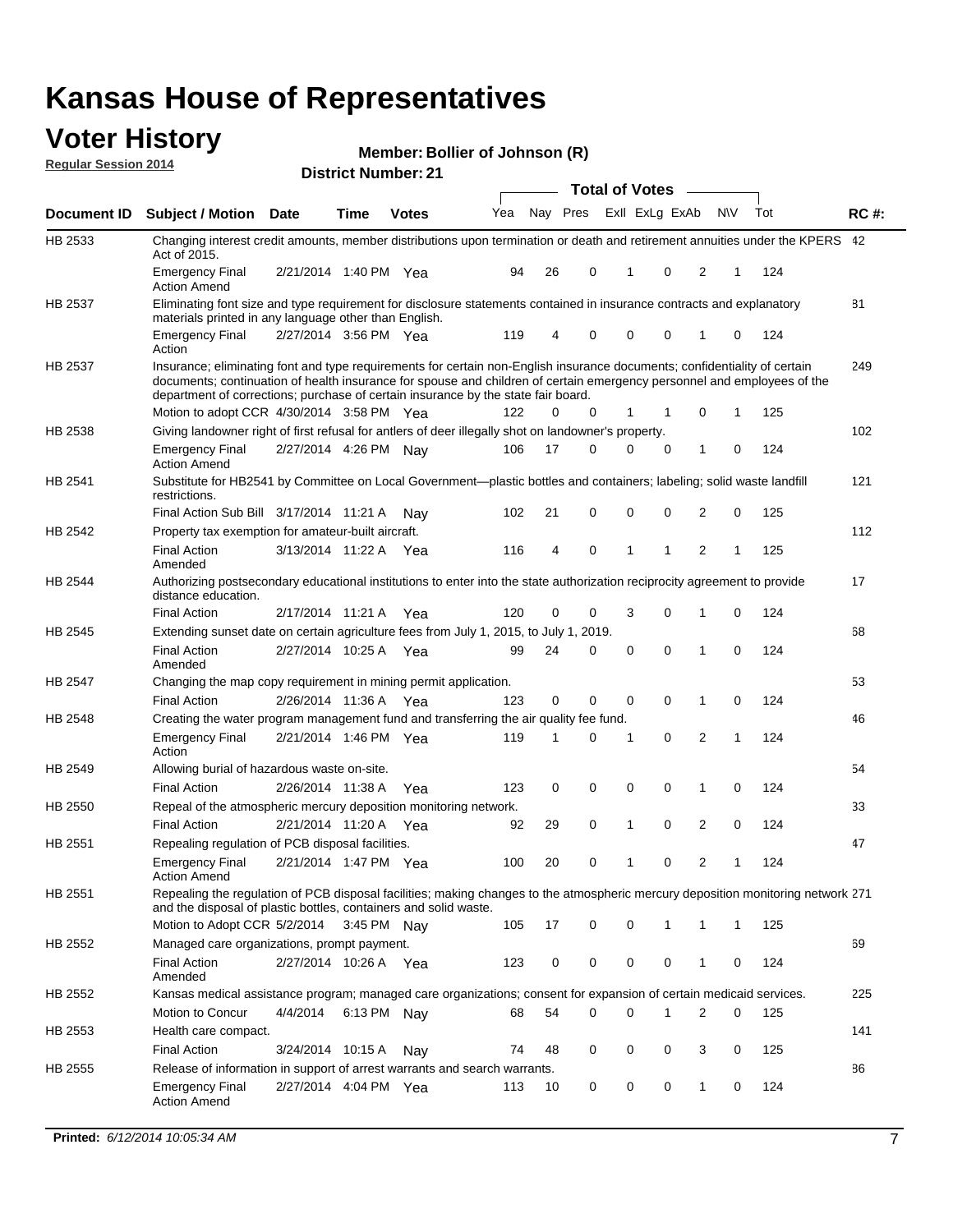### **Voter History Regular Session 2014**

|  |  | Member: Bollier of Johnson (R) |  |
|--|--|--------------------------------|--|
|--|--|--------------------------------|--|

|                |                                                                                                                                                                                                                                                                                                                                           |                       |             | PISUIVLINUIIIDULLAI |     |    |             | <b>Total of Votes</b> |                |     |   |     |             |
|----------------|-------------------------------------------------------------------------------------------------------------------------------------------------------------------------------------------------------------------------------------------------------------------------------------------------------------------------------------------|-----------------------|-------------|---------------------|-----|----|-------------|-----------------------|----------------|-----|---|-----|-------------|
| Document ID    | <b>Subject / Motion Date</b>                                                                                                                                                                                                                                                                                                              |                       | Time        | <b>Votes</b>        | Yea |    | Nay Pres    |                       | Exll ExLg ExAb | N\V |   | Tot | <b>RC#:</b> |
| HB 2533        | Changing interest credit amounts, member distributions upon termination or death and retirement annuities under the KPERS 42                                                                                                                                                                                                              |                       |             |                     |     |    |             |                       |                |     |   |     |             |
|                | Act of 2015.<br><b>Emergency Final</b><br><b>Action Amend</b>                                                                                                                                                                                                                                                                             | 2/21/2014 1:40 PM Yea |             |                     | 94  | 26 | 0           | $\mathbf{1}$          | 0              | 2   | 1 | 124 |             |
| HB 2537        | Eliminating font size and type requirement for disclosure statements contained in insurance contracts and explanatory<br>materials printed in any language other than English.                                                                                                                                                            |                       |             |                     |     |    |             |                       |                |     |   |     | 81          |
|                | <b>Emergency Final</b><br>Action                                                                                                                                                                                                                                                                                                          | 2/27/2014 3:56 PM Yea |             |                     | 119 | 4  | 0           | 0                     | 0              | 1   | 0 | 124 |             |
| HB 2537        | Insurance; eliminating font and type requirements for certain non-English insurance documents; confidentiality of certain<br>documents; continuation of health insurance for spouse and children of certain emergency personnel and employees of the<br>department of corrections; purchase of certain insurance by the state fair board. |                       |             |                     |     |    |             |                       |                |     |   |     | 249         |
|                | Motion to adopt CCR 4/30/2014 3:58 PM Yea                                                                                                                                                                                                                                                                                                 |                       |             |                     | 122 | 0  | 0           | 1                     | -1             | 0   | 1 | 125 |             |
| HB 2538        | Giving landowner right of first refusal for antlers of deer illegally shot on landowner's property.                                                                                                                                                                                                                                       |                       |             |                     |     |    |             |                       |                |     |   |     | 102         |
|                | <b>Emergency Final</b><br><b>Action Amend</b>                                                                                                                                                                                                                                                                                             | 2/27/2014 4:26 PM Nay |             |                     | 106 | 17 | 0           | 0                     | 0              | 1   | 0 | 124 |             |
| HB 2541        | Substitute for HB2541 by Committee on Local Government—plastic bottles and containers; labeling; solid waste landfill<br>restrictions.                                                                                                                                                                                                    |                       |             |                     |     |    |             |                       |                |     |   |     | 121         |
|                | Final Action Sub Bill 3/17/2014 11:21 A                                                                                                                                                                                                                                                                                                   |                       |             | Nav                 | 102 | 21 | 0           | 0                     | 0              | 2   | 0 | 125 |             |
| HB 2542        | Property tax exemption for amateur-built aircraft.                                                                                                                                                                                                                                                                                        |                       |             |                     |     |    |             |                       |                |     |   |     | 112         |
|                | <b>Final Action</b><br>Amended                                                                                                                                                                                                                                                                                                            | 3/13/2014 11:22 A Yea |             |                     | 116 | 4  | 0           | $\mathbf{1}$          | 1              | 2   | 1 | 125 |             |
| HB 2544        | Authorizing postsecondary educational institutions to enter into the state authorization reciprocity agreement to provide<br>distance education.                                                                                                                                                                                          |                       |             |                     |     |    |             |                       |                |     |   |     | 17          |
|                | <b>Final Action</b>                                                                                                                                                                                                                                                                                                                       | 2/17/2014 11:21 A Yea |             |                     | 120 | 0  | 0           | 3                     | 0              | 1   | 0 | 124 |             |
| HB 2545        | Extending sunset date on certain agriculture fees from July 1, 2015, to July 1, 2019.                                                                                                                                                                                                                                                     |                       |             |                     |     |    |             |                       |                |     |   |     | 68          |
|                | <b>Final Action</b><br>Amended                                                                                                                                                                                                                                                                                                            | 2/27/2014 10:25 A Yea |             |                     | 99  | 24 | 0           | $\mathbf 0$           | $\Omega$       | 1   | 0 | 124 |             |
| <b>HB 2547</b> | Changing the map copy requirement in mining permit application.                                                                                                                                                                                                                                                                           |                       |             |                     |     |    |             |                       |                |     |   |     | 53          |
|                | <b>Final Action</b>                                                                                                                                                                                                                                                                                                                       | 2/26/2014 11:36 A     |             | Yea                 | 123 | 0  | 0           | 0                     | 0              | 1   | 0 | 124 |             |
| HB 2548        | Creating the water program management fund and transferring the air quality fee fund.                                                                                                                                                                                                                                                     |                       |             |                     |     |    |             |                       |                |     |   |     | 46          |
|                | <b>Emergency Final</b><br>Action                                                                                                                                                                                                                                                                                                          | 2/21/2014 1:46 PM Yea |             |                     | 119 | 1  | 0           | 1                     | 0              | 2   | 1 | 124 |             |
| HB 2549        | Allowing burial of hazardous waste on-site.                                                                                                                                                                                                                                                                                               |                       |             |                     |     |    |             |                       |                |     |   |     | 54          |
|                | <b>Final Action</b>                                                                                                                                                                                                                                                                                                                       | 2/26/2014 11:38 A     |             | Yea                 | 123 | 0  | $\mathbf 0$ | 0                     | 0              | 1   | 0 | 124 |             |
| HB 2550        | Repeal of the atmospheric mercury deposition monitoring network.                                                                                                                                                                                                                                                                          |                       |             |                     |     |    |             |                       |                |     |   |     | 33          |
|                | <b>Final Action</b>                                                                                                                                                                                                                                                                                                                       | 2/21/2014 11:20 A Yea |             |                     | 92  | 29 | 0           | 1                     | 0              | 2   | 0 | 124 |             |
| HB 2551        | Repealing regulation of PCB disposal facilities.                                                                                                                                                                                                                                                                                          |                       |             |                     |     |    |             |                       |                |     |   |     | 47          |
|                | <b>Emergency Final</b><br>Action Amend                                                                                                                                                                                                                                                                                                    | 2/21/2014 1:47 PM Yea |             |                     | 100 | 20 | 0           | 1                     | 0              | 2   | 1 | 124 |             |
| HB 2551        | Repealing the regulation of PCB disposal facilities; making changes to the atmospheric mercury deposition monitoring network 271<br>and the disposal of plastic bottles, containers and solid waste.                                                                                                                                      |                       |             |                     |     |    |             |                       |                |     |   |     |             |
|                | Motion to Adopt CCR 5/2/2014 3:45 PM Nav                                                                                                                                                                                                                                                                                                  |                       |             |                     | 105 | 17 | 0           | 0                     | 1              | 1   | 1 | 125 |             |
| HB 2552        | Managed care organizations, prompt payment.                                                                                                                                                                                                                                                                                               |                       |             |                     |     |    |             |                       |                |     |   |     | 69          |
|                | <b>Final Action</b><br>Amended                                                                                                                                                                                                                                                                                                            | 2/27/2014 10:26 A Yea |             |                     | 123 | 0  | 0           | 0                     | 0              | 1   | 0 | 124 |             |
| HB 2552        | Kansas medical assistance program; managed care organizations; consent for expansion of certain medicaid services.                                                                                                                                                                                                                        |                       |             |                     |     |    |             |                       |                |     |   |     | 225         |
|                | Motion to Concur                                                                                                                                                                                                                                                                                                                          | 4/4/2014              | 6:13 PM Nay |                     | 68  | 54 | 0           | 0                     | 1              | 2   | 0 | 125 |             |
| HB 2553        | Health care compact.                                                                                                                                                                                                                                                                                                                      |                       |             |                     |     |    |             |                       |                |     |   |     | 141         |
|                | <b>Final Action</b>                                                                                                                                                                                                                                                                                                                       | 3/24/2014 10:15 A     |             | Nay                 | 74  | 48 | 0           | 0                     | 0              | 3   | 0 | 125 |             |
| HB 2555        | Release of information in support of arrest warrants and search warrants.                                                                                                                                                                                                                                                                 |                       |             |                     |     |    |             |                       |                |     |   |     | 86          |
|                | <b>Emergency Final</b><br><b>Action Amend</b>                                                                                                                                                                                                                                                                                             | 2/27/2014 4:04 PM Yea |             |                     | 113 | 10 | 0           | 0                     | 0              | 1   | 0 | 124 |             |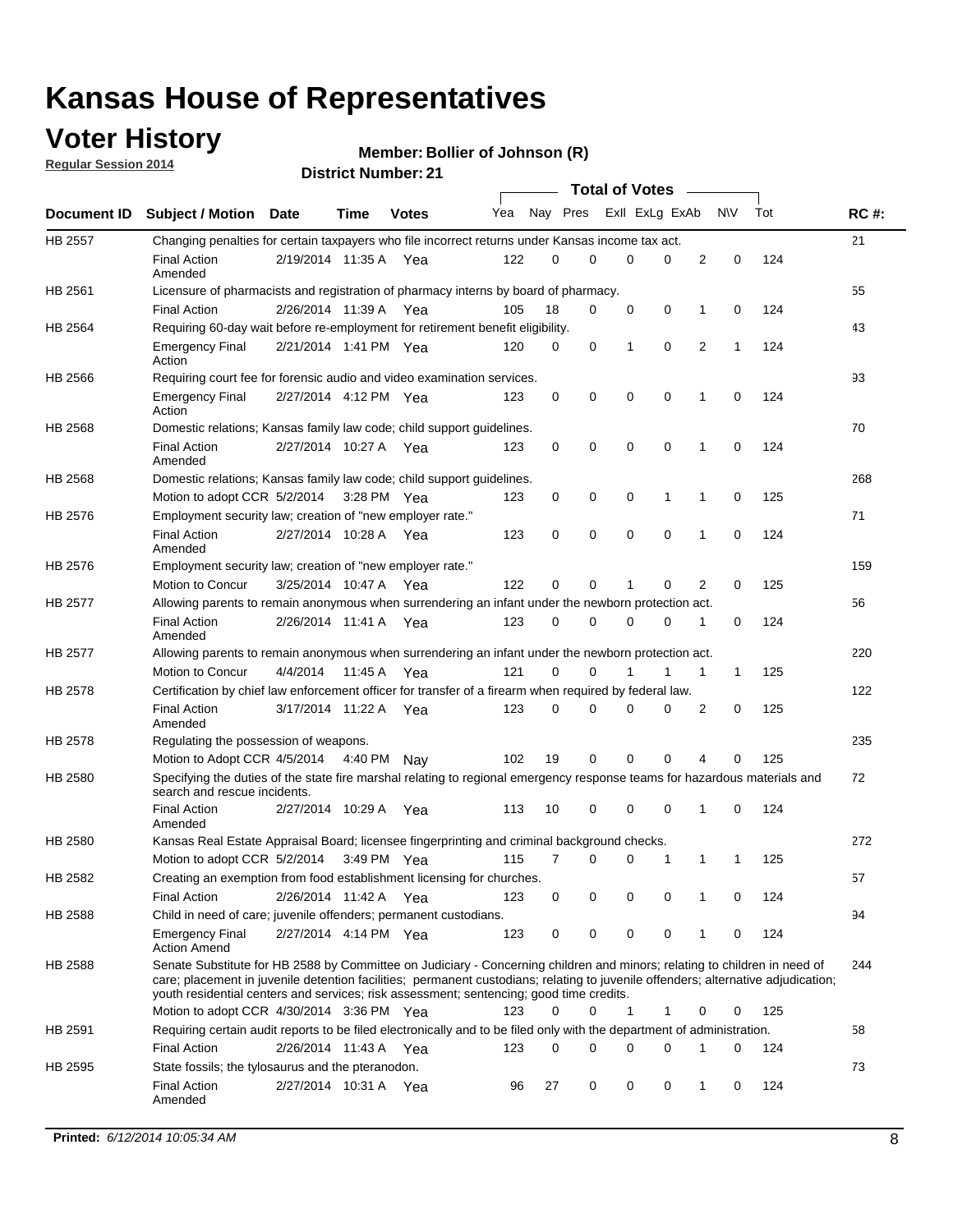## **Voter History**

**Regular Session 2014**

| <b>District Number: 21</b> |
|----------------------------|
|                            |

|             |                                                                                                                                                                                                                                                                                                                                                           |                       | ul Ituliin    |              |     |          |             | <b>Total of Votes</b> |             |                |              |     |             |
|-------------|-----------------------------------------------------------------------------------------------------------------------------------------------------------------------------------------------------------------------------------------------------------------------------------------------------------------------------------------------------------|-----------------------|---------------|--------------|-----|----------|-------------|-----------------------|-------------|----------------|--------------|-----|-------------|
| Document ID | <b>Subject / Motion Date</b>                                                                                                                                                                                                                                                                                                                              |                       | <b>Time</b>   | <b>Votes</b> | Yea | Nay Pres |             | ExII ExLg ExAb        |             |                | <b>NV</b>    | Tot | <b>RC#:</b> |
| HB 2557     | Changing penalties for certain taxpayers who file incorrect returns under Kansas income tax act.                                                                                                                                                                                                                                                          |                       |               |              |     |          |             |                       |             |                |              |     | 21          |
|             | <b>Final Action</b><br>Amended                                                                                                                                                                                                                                                                                                                            | 2/19/2014 11:35 A Yea |               |              | 122 | $\Omega$ | $\Omega$    | $\mathbf 0$           | 0           | $\overline{2}$ | 0            | 124 |             |
| HB 2561     | Licensure of pharmacists and registration of pharmacy interns by board of pharmacy.                                                                                                                                                                                                                                                                       |                       |               |              |     |          |             |                       |             |                |              |     | 55          |
|             | <b>Final Action</b>                                                                                                                                                                                                                                                                                                                                       | 2/26/2014 11:39 A     |               | Yea          | 105 | 18       | 0           | 0                     | 0           | 1              | 0            | 124 |             |
| HB 2564     | Requiring 60-day wait before re-employment for retirement benefit eligibility.                                                                                                                                                                                                                                                                            |                       |               |              |     |          |             |                       |             |                |              |     | 43          |
|             | <b>Emergency Final</b><br>Action                                                                                                                                                                                                                                                                                                                          | 2/21/2014 1:41 PM Yea |               |              | 120 | 0        | 0           | 1                     | $\mathbf 0$ | $\overline{2}$ | 1            | 124 |             |
| HB 2566     | Requiring court fee for forensic audio and video examination services.                                                                                                                                                                                                                                                                                    |                       |               |              |     |          |             |                       |             |                |              |     | 93          |
|             | <b>Emergency Final</b><br>Action                                                                                                                                                                                                                                                                                                                          | 2/27/2014 4:12 PM Yea |               |              | 123 | 0        | 0           | $\mathbf 0$           | $\mathbf 0$ | 1              | 0            | 124 |             |
| HB 2568     | Domestic relations; Kansas family law code; child support guidelines.                                                                                                                                                                                                                                                                                     |                       |               |              |     |          |             |                       |             |                |              |     | 70          |
|             | <b>Final Action</b><br>Amended                                                                                                                                                                                                                                                                                                                            | 2/27/2014 10:27 A Yea |               |              | 123 | 0        | $\mathbf 0$ | $\mathbf 0$           | $\mathbf 0$ | 1              | 0            | 124 |             |
| HB 2568     | Domestic relations; Kansas family law code; child support guidelines.                                                                                                                                                                                                                                                                                     |                       |               |              |     |          |             |                       |             |                |              |     | 268         |
|             | Motion to adopt CCR 5/2/2014                                                                                                                                                                                                                                                                                                                              |                       | $3:28$ PM Yea |              | 123 | 0        | 0           | 0                     | 1           | 1              | 0            | 125 |             |
| HB 2576     | Employment security law; creation of "new employer rate."                                                                                                                                                                                                                                                                                                 |                       |               |              |     |          |             |                       |             |                |              |     | 71          |
|             | <b>Final Action</b><br>Amended                                                                                                                                                                                                                                                                                                                            | 2/27/2014 10:28 A Yea |               |              | 123 | 0        | 0           | $\mathbf 0$           | $\mathbf 0$ | $\mathbf{1}$   | 0            | 124 |             |
| HB 2576     | Employment security law; creation of "new employer rate."                                                                                                                                                                                                                                                                                                 |                       |               |              |     |          |             |                       |             |                |              |     | 159         |
|             | Motion to Concur                                                                                                                                                                                                                                                                                                                                          | 3/25/2014 10:47 A     |               | Yea          | 122 | 0        | 0           | 1                     | 0           | $\overline{2}$ | 0            | 125 |             |
| HB 2577     | Allowing parents to remain anonymous when surrendering an infant under the newborn protection act.                                                                                                                                                                                                                                                        |                       |               |              |     |          |             |                       |             |                |              |     | 56          |
|             | <b>Final Action</b><br>Amended                                                                                                                                                                                                                                                                                                                            | 2/26/2014 11:41 A Yea |               |              | 123 | 0        | 0           | 0                     | 0           | 1              | 0            | 124 |             |
| HB 2577     | Allowing parents to remain anonymous when surrendering an infant under the newborn protection act.                                                                                                                                                                                                                                                        |                       |               |              |     |          |             |                       |             |                |              |     | 220         |
|             | Motion to Concur                                                                                                                                                                                                                                                                                                                                          | 4/4/2014              | 11:45 A       | Yea          | 121 | $\Omega$ | 0           |                       |             | 1              | $\mathbf{1}$ | 125 |             |
| HB 2578     | Certification by chief law enforcement officer for transfer of a firearm when required by federal law.                                                                                                                                                                                                                                                    |                       |               |              |     |          |             |                       |             |                |              |     | 122         |
|             | <b>Final Action</b><br>Amended                                                                                                                                                                                                                                                                                                                            | 3/17/2014 11:22 A Yea |               |              | 123 | 0        | 0           | 0                     | 0           | 2              | 0            | 125 |             |
| HB 2578     | Regulating the possession of weapons.                                                                                                                                                                                                                                                                                                                     |                       |               |              |     |          |             |                       |             |                |              |     | 235         |
|             | Motion to Adopt CCR 4/5/2014 4:40 PM                                                                                                                                                                                                                                                                                                                      |                       |               | Nav          | 102 | 19       | 0           | 0                     | 0           | 4              | 0            | 125 |             |
| HB 2580     | Specifying the duties of the state fire marshal relating to regional emergency response teams for hazardous materials and<br>search and rescue incidents.                                                                                                                                                                                                 |                       |               |              |     |          |             |                       |             |                |              |     | 72          |
|             | <b>Final Action</b><br>Amended                                                                                                                                                                                                                                                                                                                            | 2/27/2014 10:29 A     |               | Yea          | 113 | 10       | 0           | $\mathbf 0$           | $\mathbf 0$ | 1              | 0            | 124 |             |
| HB 2580     | Kansas Real Estate Appraisal Board; licensee fingerprinting and criminal background checks.                                                                                                                                                                                                                                                               |                       |               |              |     |          |             |                       |             |                |              |     | 272         |
|             | Motion to adopt CCR 5/2/2014                                                                                                                                                                                                                                                                                                                              |                       | 3:49 PM Yea   |              | 115 | 7        | 0           | 0                     | 1           | 1              | -1           | 125 |             |
| HB 2582     | Creating an exemption from food establishment licensing for churches.                                                                                                                                                                                                                                                                                     |                       |               |              |     |          |             |                       |             |                |              |     | 57          |
|             | <b>Final Action</b>                                                                                                                                                                                                                                                                                                                                       | 2/26/2014 11:42 A     |               | Yea          | 123 | 0        | 0           | 0                     | 0           | 1              | 0            | 124 |             |
| HB 2588     | Child in need of care; juvenile offenders; permanent custodians.                                                                                                                                                                                                                                                                                          |                       |               |              |     |          |             |                       |             |                |              |     | 94          |
|             | <b>Emergency Final</b><br><b>Action Amend</b>                                                                                                                                                                                                                                                                                                             | 2/27/2014 4:14 PM Yea |               |              | 123 | 0        | 0           | 0                     | 0           | 1              | 0            | 124 |             |
| HB 2588     | Senate Substitute for HB 2588 by Committee on Judiciary - Concerning children and minors; relating to children in need of<br>care; placement in juvenile detention facilities; permanent custodians; relating to juvenile offenders; alternative adjudication;<br>youth residential centers and services; risk assessment; sentencing; good time credits. |                       |               |              |     |          |             |                       |             |                |              |     | 244         |
|             | Motion to adopt CCR 4/30/2014 3:36 PM Yea                                                                                                                                                                                                                                                                                                                 |                       |               |              | 123 | 0        | 0           | 1                     | 1           | 0              | 0            | 125 |             |
| HB 2591     | Requiring certain audit reports to be filed electronically and to be filed only with the department of administration.                                                                                                                                                                                                                                    |                       |               |              |     |          |             |                       |             |                |              |     | 58          |
|             | <b>Final Action</b>                                                                                                                                                                                                                                                                                                                                       | 2/26/2014 11:43 A     |               | Yea          | 123 | 0        | 0           | 0                     | 0           | 1              | 0            | 124 |             |
| HB 2595     | State fossils; the tylosaurus and the pteranodon.                                                                                                                                                                                                                                                                                                         |                       |               |              |     |          |             |                       |             |                |              |     | 73          |
|             | <b>Final Action</b><br>Amended                                                                                                                                                                                                                                                                                                                            | 2/27/2014 10:31 A     |               | Yea          | 96  | 27       | 0           | 0                     | 0           | 1              | 0            | 124 |             |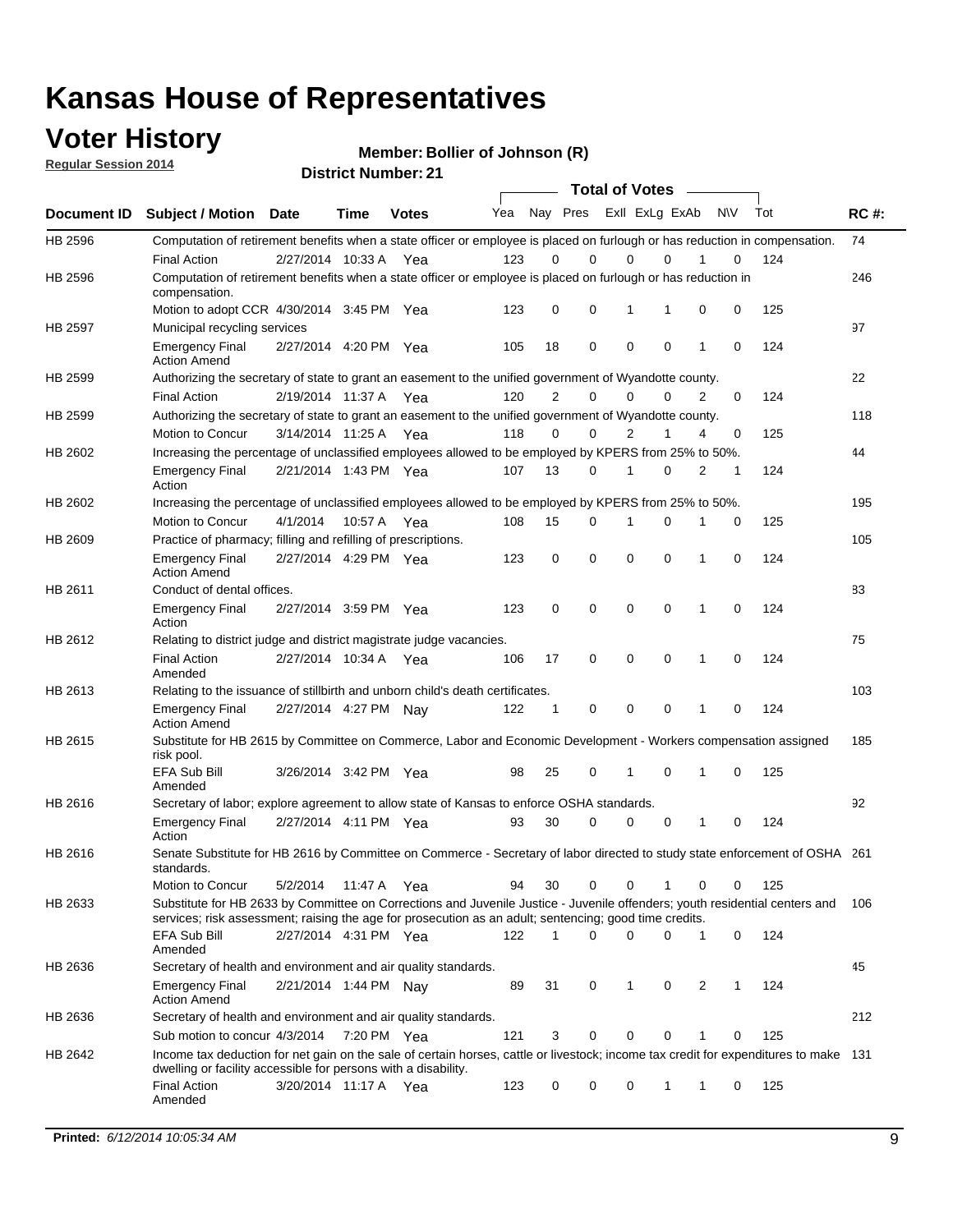### **Voter History**

**Regular Session 2014**

| <b>District Number: 21</b> |
|----------------------------|
|                            |

|             |                                                                                                                                                                                                                                       |                       |             |              |     |             | <b>Total of Votes</b>   |             |             |              |           |     |             |
|-------------|---------------------------------------------------------------------------------------------------------------------------------------------------------------------------------------------------------------------------------------|-----------------------|-------------|--------------|-----|-------------|-------------------------|-------------|-------------|--------------|-----------|-----|-------------|
| Document ID | <b>Subject / Motion Date</b>                                                                                                                                                                                                          |                       | <b>Time</b> | <b>Votes</b> | Yea |             | Nay Pres Exll ExLg ExAb |             |             |              | <b>NV</b> | Tot | <b>RC#:</b> |
| HB 2596     | Computation of retirement benefits when a state officer or employee is placed on furlough or has reduction in compensation.                                                                                                           |                       |             |              |     |             |                         |             |             |              |           |     | 74          |
|             | <b>Final Action</b>                                                                                                                                                                                                                   | 2/27/2014 10:33 A     |             | Yea          | 123 | 0           | 0                       | $\mathbf 0$ | $\Omega$    |              | 0         | 124 |             |
| HB 2596     | Computation of retirement benefits when a state officer or employee is placed on furlough or has reduction in<br>compensation.                                                                                                        |                       |             |              |     |             |                         |             |             |              |           |     | 246         |
|             | Motion to adopt CCR 4/30/2014 3:45 PM Yea                                                                                                                                                                                             |                       |             |              | 123 | 0           | 0                       | 1           | 1           | 0            | 0         | 125 |             |
| HB 2597     | Municipal recycling services                                                                                                                                                                                                          |                       |             |              |     |             |                         |             |             |              |           |     | 97          |
|             | <b>Emergency Final</b><br><b>Action Amend</b>                                                                                                                                                                                         | 2/27/2014 4:20 PM Yea |             |              | 105 | 18          | 0                       | $\mathbf 0$ | 0           | $\mathbf{1}$ | 0         | 124 |             |
| HB 2599     | Authorizing the secretary of state to grant an easement to the unified government of Wyandotte county.                                                                                                                                |                       |             |              |     |             |                         |             |             |              |           |     | 22          |
|             | <b>Final Action</b>                                                                                                                                                                                                                   | 2/19/2014 11:37 A     |             | Yea          | 120 | 2           | 0                       | 0           | $\mathbf 0$ | 2            | 0         | 124 |             |
| HB 2599     | Authorizing the secretary of state to grant an easement to the unified government of Wyandotte county.                                                                                                                                |                       |             |              |     |             |                         |             |             |              |           |     | 118         |
|             | Motion to Concur                                                                                                                                                                                                                      | 3/14/2014 11:25 A     |             | Yea          | 118 | 0           | 0                       | 2           | 1           | 4            | 0         | 125 |             |
| HB 2602     | Increasing the percentage of unclassified employees allowed to be employed by KPERS from 25% to 50%.                                                                                                                                  |                       |             |              |     |             |                         |             |             |              |           |     | 44          |
|             | <b>Emergency Final</b><br>Action                                                                                                                                                                                                      | 2/21/2014 1:43 PM Yea |             |              | 107 | 13          | 0                       | 1           | 0           | 2            | 1         | 124 |             |
| HB 2602     | Increasing the percentage of unclassified employees allowed to be employed by KPERS from 25% to 50%.                                                                                                                                  |                       |             |              |     |             |                         |             |             |              |           |     | 195         |
|             | Motion to Concur                                                                                                                                                                                                                      | 4/1/2014              | 10:57 A     | Yea          | 108 | 15          | 0                       | 1           | $\mathbf 0$ | 1            | 0         | 125 |             |
| HB 2609     | Practice of pharmacy; filling and refilling of prescriptions.                                                                                                                                                                         |                       |             |              |     |             |                         |             |             |              |           |     | 105         |
|             | <b>Emergency Final</b><br><b>Action Amend</b>                                                                                                                                                                                         | 2/27/2014 4:29 PM Yea |             |              | 123 | $\mathbf 0$ | $\mathbf 0$             | $\mathbf 0$ | $\mathbf 0$ | 1            | $\Omega$  | 124 |             |
| HB 2611     | Conduct of dental offices.                                                                                                                                                                                                            |                       |             |              |     |             |                         |             |             |              |           |     | 83          |
|             | <b>Emergency Final</b><br>Action                                                                                                                                                                                                      | 2/27/2014 3:59 PM Yea |             |              | 123 | 0           | 0                       | $\mathbf 0$ | $\mathbf 0$ | 1            | 0         | 124 |             |
| HB 2612     | Relating to district judge and district magistrate judge vacancies.                                                                                                                                                                   |                       |             |              |     |             |                         |             |             |              |           |     | 75          |
|             | <b>Final Action</b><br>Amended                                                                                                                                                                                                        | 2/27/2014 10:34 A     |             | Yea          | 106 | 17          | 0                       | $\mathbf 0$ | $\mathbf 0$ | 1            | 0         | 124 |             |
| HB 2613     | Relating to the issuance of stillbirth and unborn child's death certificates.                                                                                                                                                         |                       |             |              |     |             |                         |             |             |              |           |     | 103         |
|             | <b>Emergency Final</b><br><b>Action Amend</b>                                                                                                                                                                                         | 2/27/2014 4:27 PM Nay |             |              | 122 | $\mathbf 1$ | 0                       | $\mathbf 0$ | 0           | 1            | 0         | 124 |             |
| HB 2615     | Substitute for HB 2615 by Committee on Commerce, Labor and Economic Development - Workers compensation assigned<br>risk pool.                                                                                                         |                       |             |              |     |             |                         |             |             |              |           |     | 185         |
|             | EFA Sub Bill<br>Amended                                                                                                                                                                                                               | 3/26/2014 3:42 PM Yea |             |              | 98  | 25          | 0                       | 1           | 0           | 1            | 0         | 125 |             |
| HB 2616     | Secretary of labor; explore agreement to allow state of Kansas to enforce OSHA standards.                                                                                                                                             |                       |             |              |     |             |                         |             |             |              |           |     | 92          |
|             | <b>Emergency Final</b><br>Action                                                                                                                                                                                                      | 2/27/2014 4:11 PM Yea |             |              | 93  | 30          | $\Omega$                | $\mathbf 0$ | 0           | 1            | 0         | 124 |             |
| HB 2616     | Senate Substitute for HB 2616 by Committee on Commerce - Secretary of labor directed to study state enforcement of OSHA 261<br>standards.                                                                                             |                       |             |              |     |             |                         |             |             |              |           |     |             |
|             | Motion to Concur                                                                                                                                                                                                                      | 5/2/2014 11:47 A      |             | Yea          | 94  | 30          | 0                       | $\mathbf 0$ | 1           | 0            | 0         | 125 |             |
| HB 2633     | Substitute for HB 2633 by Committee on Corrections and Juvenile Justice - Juvenile offenders; youth residential centers and<br>services; risk assessment; raising the age for prosecution as an adult; sentencing; good time credits. |                       |             |              |     |             |                         |             |             |              |           |     | - 106       |
|             | <b>EFA Sub Bill</b><br>Amended                                                                                                                                                                                                        | 2/27/2014 4:31 PM Yea |             |              | 122 | 1           | 0                       | 0           | 0           | 1            | 0         | 124 |             |
| HB 2636     | Secretary of health and environment and air quality standards.                                                                                                                                                                        |                       |             |              |     |             |                         |             |             |              |           |     | 45          |
|             | <b>Emergency Final</b><br><b>Action Amend</b>                                                                                                                                                                                         | 2/21/2014 1:44 PM Nay |             |              | 89  | 31          | 0                       | 1           | 0           | 2            |           | 124 |             |
| HB 2636     | Secretary of health and environment and air quality standards.                                                                                                                                                                        |                       |             |              |     |             |                         |             |             |              |           |     | 212         |
|             | Sub motion to concur 4/3/2014                                                                                                                                                                                                         |                       | 7:20 PM Yea |              | 121 | 3           | 0                       | 0           | 0           | 1            | 0         | 125 |             |
| HB 2642     | Income tax deduction for net gain on the sale of certain horses, cattle or livestock; income tax credit for expenditures to make 131                                                                                                  |                       |             |              |     |             |                         |             |             |              |           |     |             |
|             | dwelling or facility accessible for persons with a disability.<br><b>Final Action</b>                                                                                                                                                 | 3/20/2014 11:17 A Yea |             |              | 123 | 0           | 0                       | 0           | 1           | 1            | 0         | 125 |             |
|             | Amended                                                                                                                                                                                                                               |                       |             |              |     |             |                         |             |             |              |           |     |             |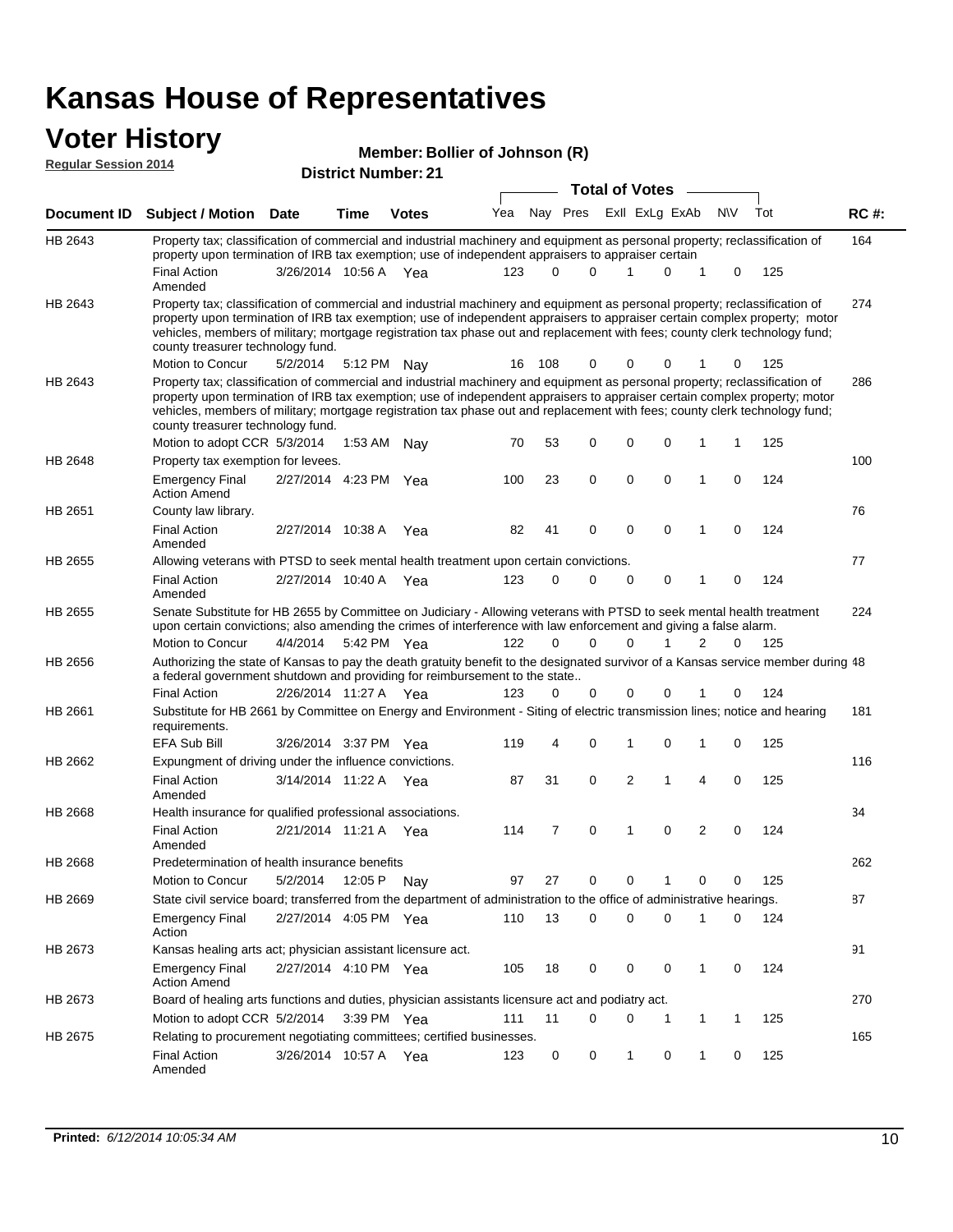# **Voter History**<br> **Regular Session 2014**

| <u>VULGI TIISLUI Y</u><br><b>Regular Session 2014</b> |                                                                                                                                                                                                                                                                                                                                                                                                                               |                       |         |                            | Member: Bollier of Johnson (R) |          |             |                       |              |                |              |             |     |             |
|-------------------------------------------------------|-------------------------------------------------------------------------------------------------------------------------------------------------------------------------------------------------------------------------------------------------------------------------------------------------------------------------------------------------------------------------------------------------------------------------------|-----------------------|---------|----------------------------|--------------------------------|----------|-------------|-----------------------|--------------|----------------|--------------|-------------|-----|-------------|
|                                                       |                                                                                                                                                                                                                                                                                                                                                                                                                               |                       |         | <b>District Number: 21</b> |                                |          |             | <b>Total of Votes</b> |              |                |              |             |     |             |
| <b>Document ID</b>                                    | <b>Subject / Motion Date</b>                                                                                                                                                                                                                                                                                                                                                                                                  |                       | Time    | <b>Votes</b>               | Yea                            |          | Nay Pres    |                       |              | Exll ExLg ExAb |              | <b>NV</b>   | Tot | <b>RC#:</b> |
|                                                       |                                                                                                                                                                                                                                                                                                                                                                                                                               |                       |         |                            |                                |          |             |                       |              |                |              |             |     |             |
| HB 2643                                               | Property tax; classification of commercial and industrial machinery and equipment as personal property; reclassification of<br>property upon termination of IRB tax exemption; use of independent appraisers to appraiser certain                                                                                                                                                                                             |                       |         |                            |                                |          |             |                       |              |                |              |             |     | 164         |
|                                                       | <b>Final Action</b><br>Amended                                                                                                                                                                                                                                                                                                                                                                                                | 3/26/2014 10:56 A Yea |         |                            | 123                            | $\Omega$ | $\Omega$    |                       | 1            | 0              | $\mathbf 1$  | 0           | 125 |             |
| HB 2643                                               | Property tax; classification of commercial and industrial machinery and equipment as personal property; reclassification of<br>property upon termination of IRB tax exemption; use of independent appraisers to appraiser certain complex property; motor<br>vehicles, members of military; mortgage registration tax phase out and replacement with fees; county clerk technology fund;<br>county treasurer technology fund. |                       |         |                            |                                |          |             |                       |              |                |              |             |     | 274         |
|                                                       | Motion to Concur                                                                                                                                                                                                                                                                                                                                                                                                              | 5/2/2014              |         | 5:12 PM Nay                | 16                             | 108      | 0           |                       | 0            | 0              |              | 0           | 125 |             |
| HB 2643                                               | Property tax; classification of commercial and industrial machinery and equipment as personal property; reclassification of<br>property upon termination of IRB tax exemption; use of independent appraisers to appraiser certain complex property; motor<br>vehicles, members of military; mortgage registration tax phase out and replacement with fees; county clerk technology fund;<br>county treasurer technology fund. |                       |         |                            |                                |          |             |                       |              |                |              |             |     | 286         |
|                                                       | Motion to adopt CCR 5/3/2014                                                                                                                                                                                                                                                                                                                                                                                                  |                       | 1:53 AM | Nay                        | 70                             | 53       | 0           |                       | 0            | 0              | 1            | 1           | 125 |             |
| HB 2648                                               | Property tax exemption for levees.                                                                                                                                                                                                                                                                                                                                                                                            |                       |         |                            |                                |          |             |                       |              |                |              |             |     | 100         |
|                                                       | <b>Emergency Final</b><br><b>Action Amend</b>                                                                                                                                                                                                                                                                                                                                                                                 | 2/27/2014 4:23 PM Yea |         |                            | 100                            | 23       | $\mathbf 0$ |                       | 0            | 0              | $\mathbf{1}$ | 0           | 124 |             |
| HB 2651                                               | County law library.                                                                                                                                                                                                                                                                                                                                                                                                           |                       |         |                            |                                |          |             |                       |              |                |              |             |     | 76          |
|                                                       | <b>Final Action</b><br>Amended                                                                                                                                                                                                                                                                                                                                                                                                | 2/27/2014 10:38 A     |         | Yea                        | 82                             | 41       | 0           |                       | 0            | $\mathbf 0$    | 1            | 0           | 124 |             |
| HB 2655                                               | Allowing veterans with PTSD to seek mental health treatment upon certain convictions.                                                                                                                                                                                                                                                                                                                                         |                       |         |                            |                                |          |             |                       |              |                |              |             |     | 77          |
|                                                       | <b>Final Action</b><br>Amended                                                                                                                                                                                                                                                                                                                                                                                                | 2/27/2014 10:40 A Yea |         |                            | 123                            | 0        | $\Omega$    |                       | $\mathbf 0$  | $\mathbf 0$    | 1            | 0           | 124 |             |
| HB 2655                                               | Senate Substitute for HB 2655 by Committee on Judiciary - Allowing veterans with PTSD to seek mental health treatment<br>upon certain convictions; also amending the crimes of interference with law enforcement and giving a false alarm.<br>Motion to Concur                                                                                                                                                                | 4/4/2014              |         | 5:42 PM Yea                | 122                            | 0        | $\Omega$    |                       | $\mathbf{0}$ | 1              | 2            | 0           | 125 | 224         |
| HB 2656                                               | Authorizing the state of Kansas to pay the death gratuity benefit to the designated survivor of a Kansas service member during 48<br>a federal government shutdown and providing for reimbursement to the state                                                                                                                                                                                                               |                       |         |                            |                                |          |             |                       |              |                |              |             |     |             |
|                                                       | <b>Final Action</b>                                                                                                                                                                                                                                                                                                                                                                                                           | 2/26/2014 11:27 A Yea |         |                            | 123                            | 0        | 0           |                       | 0            | 0              | 1            | 0           | 124 |             |
| HB 2661                                               | Substitute for HB 2661 by Committee on Energy and Environment - Siting of electric transmission lines; notice and hearing<br>requirements.                                                                                                                                                                                                                                                                                    |                       |         |                            |                                |          |             |                       |              |                |              |             |     | 181         |
|                                                       | EFA Sub Bill                                                                                                                                                                                                                                                                                                                                                                                                                  | 3/26/2014 3:37 PM Yea |         |                            | 119                            | 4        | 0           |                       | 1            | 0              | 1            | 0           | 125 |             |
| HB 2662                                               | Expungment of driving under the influence convictions.                                                                                                                                                                                                                                                                                                                                                                        |                       |         |                            |                                |          |             |                       |              |                |              |             |     | 116         |
|                                                       | <b>Final Action</b><br>Amended                                                                                                                                                                                                                                                                                                                                                                                                | 3/14/2014 11:22 A Yea |         |                            | 87                             | 31       | $\mathbf 0$ |                       | 2            | 1              | 4            | $\mathbf 0$ | 125 |             |
| HB 2668                                               | Health insurance for qualified professional associations.                                                                                                                                                                                                                                                                                                                                                                     |                       |         |                            |                                |          |             |                       |              |                |              |             |     | 34          |
|                                                       | <b>Final Action</b><br>Amended                                                                                                                                                                                                                                                                                                                                                                                                | 2/21/2014 11:21 A Yea |         |                            | 114                            | 7        | 0           |                       | 1            | 0              | 2            | 0           | 124 |             |
| HB 2668                                               | Predetermination of health insurance benefits                                                                                                                                                                                                                                                                                                                                                                                 |                       |         |                            |                                |          |             |                       |              |                |              |             |     | 262         |
|                                                       | Motion to Concur                                                                                                                                                                                                                                                                                                                                                                                                              | 5/2/2014              | 12:05 P | Nav                        | 97                             | 27       | 0           |                       | 0            | $\mathbf{1}$   | 0            | 0           | 125 |             |
| HB 2669                                               | State civil service board; transferred from the department of administration to the office of administrative hearings.                                                                                                                                                                                                                                                                                                        |                       |         |                            |                                |          |             |                       |              |                |              |             |     | 87          |
|                                                       | <b>Emergency Final</b><br>Action                                                                                                                                                                                                                                                                                                                                                                                              | 2/27/2014 4:05 PM Yea |         |                            | 110                            | 13       | 0           |                       | 0            | 0              | $\mathbf{1}$ | 0           | 124 |             |
| HB 2673                                               | Kansas healing arts act; physician assistant licensure act.                                                                                                                                                                                                                                                                                                                                                                   |                       |         |                            |                                |          |             |                       |              |                |              |             |     | 91          |
|                                                       | <b>Emergency Final</b><br><b>Action Amend</b>                                                                                                                                                                                                                                                                                                                                                                                 | 2/27/2014 4:10 PM Yea |         |                            | 105                            | 18       | 0           |                       | 0            | 0              | $\mathbf{1}$ | 0           | 124 |             |
| HB 2673                                               | Board of healing arts functions and duties, physician assistants licensure act and podiatry act.                                                                                                                                                                                                                                                                                                                              |                       |         |                            |                                |          |             |                       |              |                |              |             |     | 270         |
|                                                       | Motion to adopt CCR 5/2/2014                                                                                                                                                                                                                                                                                                                                                                                                  |                       |         | 3:39 PM Yea                | 111                            | 11       | 0           |                       | 0            | 1              | $\mathbf{1}$ | 1           | 125 |             |
| HB 2675                                               | Relating to procurement negotiating committees; certified businesses.                                                                                                                                                                                                                                                                                                                                                         |                       |         |                            |                                |          |             |                       |              |                |              |             |     | 165         |
|                                                       | <b>Final Action</b>                                                                                                                                                                                                                                                                                                                                                                                                           | 3/26/2014 10:57 A Yea |         |                            | 123                            | 0        | 0           |                       | $\mathbf{1}$ | 0              | $\mathbf{1}$ | 0           | 125 |             |

Amended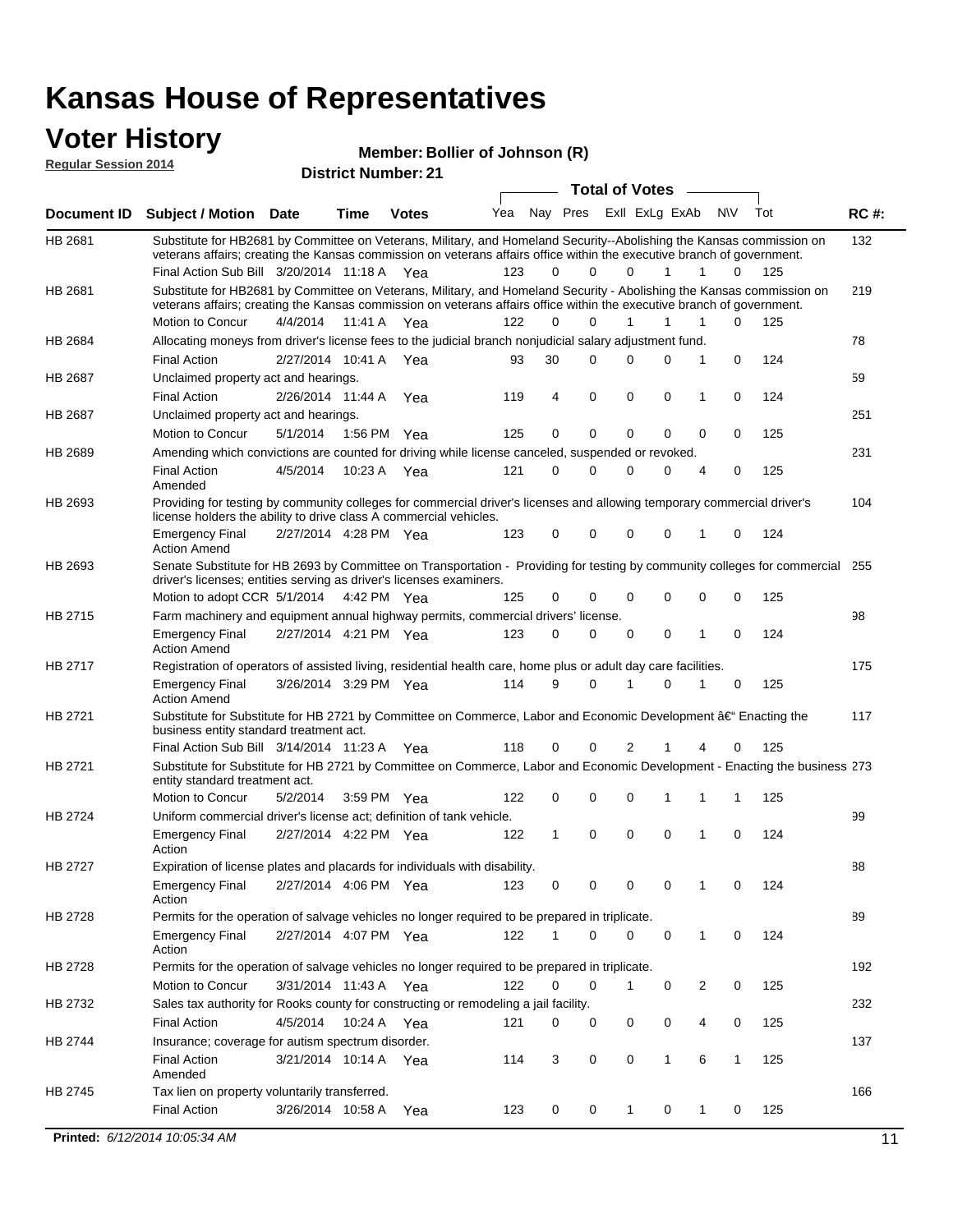#### **Voter History Regular Session 2014**

| noguidi ocoololi 4014 |                                                                                                                                                                                                                                                 |                       |         | <b>District Number: 21</b> |     |             |             |                  |              |   |     |     |             |
|-----------------------|-------------------------------------------------------------------------------------------------------------------------------------------------------------------------------------------------------------------------------------------------|-----------------------|---------|----------------------------|-----|-------------|-------------|------------------|--------------|---|-----|-----|-------------|
|                       |                                                                                                                                                                                                                                                 |                       |         |                            |     |             |             | Total of Votes – |              |   |     |     |             |
| <b>Document ID</b>    | <b>Subject / Motion Date</b>                                                                                                                                                                                                                    |                       | Time    | <b>Votes</b>               | Yea | Nay Pres    |             | Exll ExLg ExAb   |              |   | N\V | Tot | <b>RC#:</b> |
| HB 2681               | Substitute for HB2681 by Committee on Veterans, Military, and Homeland Security--Abolishing the Kansas commission on<br>veterans affairs; creating the Kansas commission on veterans affairs office within the executive branch of government.  |                       |         |                            | 123 | 0           | 0           | $\Omega$         | 1            | 1 | 0   | 125 | 132         |
|                       | Final Action Sub Bill 3/20/2014 11:18 A Yea                                                                                                                                                                                                     |                       |         |                            |     |             |             |                  |              |   |     |     |             |
| HB 2681               | Substitute for HB2681 by Committee on Veterans, Military, and Homeland Security - Abolishing the Kansas commission on<br>veterans affairs; creating the Kansas commission on veterans affairs office within the executive branch of government. |                       |         |                            |     |             |             |                  |              |   |     |     | 219         |
|                       | Motion to Concur                                                                                                                                                                                                                                | 4/4/2014              | 11:41 A | Yea                        | 122 | $\Omega$    | $\Omega$    | 1                | 1            | 1 | 0   | 125 |             |
| HB 2684               | Allocating moneys from driver's license fees to the judicial branch nonjudicial salary adjustment fund.                                                                                                                                         |                       |         |                            |     |             |             |                  |              |   |     |     | 78          |
|                       | <b>Final Action</b>                                                                                                                                                                                                                             | 2/27/2014 10:41 A     |         | Yea                        | 93  | 30          | $\Omega$    | $\Omega$         | 0            | 1 | 0   | 124 |             |
| HB 2687               | Unclaimed property act and hearings.                                                                                                                                                                                                            |                       |         |                            |     |             |             |                  |              |   |     |     | 59          |
|                       | <b>Final Action</b>                                                                                                                                                                                                                             | 2/26/2014 11:44 A     |         | Yea                        | 119 | 4           | $\mathbf 0$ | 0                | $\mathbf 0$  | 1 | 0   | 124 |             |
| HB 2687               | Unclaimed property act and hearings.                                                                                                                                                                                                            |                       |         |                            |     |             |             |                  |              |   |     |     | 251         |
|                       | Motion to Concur                                                                                                                                                                                                                                | 5/1/2014              |         | 1:56 PM Yea                | 125 | 0           | $\mathbf 0$ | 0                | 0            | 0 | 0   | 125 |             |
| <b>HB 2689</b>        | Amending which convictions are counted for driving while license canceled, suspended or revoked.                                                                                                                                                |                       |         |                            |     |             |             |                  |              |   |     |     | 231         |
|                       | <b>Final Action</b><br>Amended                                                                                                                                                                                                                  | 4/5/2014              | 10:23 A | Yea                        | 121 | $\mathbf 0$ | 0           | $\Omega$         | 0            | 4 | 0   | 125 |             |
| HB 2693               | Providing for testing by community colleges for commercial driver's licenses and allowing temporary commercial driver's<br>license holders the ability to drive class A commercial vehicles.                                                    |                       |         |                            |     |             |             |                  |              |   |     |     | 104         |
|                       | <b>Emergency Final</b><br><b>Action Amend</b>                                                                                                                                                                                                   | 2/27/2014 4:28 PM Yea |         |                            | 123 | 0           | $\mathbf 0$ | $\Omega$         | $\mathbf 0$  | 1 | 0   | 124 |             |
| HB 2693               | Senate Substitute for HB 2693 by Committee on Transportation - Providing for testing by community colleges for commercial<br>driver's licenses; entities serving as driver's licenses examiners.                                                |                       |         |                            |     |             |             |                  |              |   |     |     | 255         |
|                       | Motion to adopt CCR 5/1/2014 4:42 PM Yea                                                                                                                                                                                                        |                       |         |                            | 125 | 0           | $\Omega$    | $\Omega$         | $\Omega$     | 0 | 0   | 125 |             |
| HB 2715               | Farm machinery and equipment annual highway permits, commercial drivers' license.                                                                                                                                                               |                       |         |                            |     |             |             |                  |              |   |     |     | 98          |
|                       | <b>Emergency Final</b><br><b>Action Amend</b>                                                                                                                                                                                                   | 2/27/2014 4:21 PM Yea |         |                            | 123 | 0           | 0           | 0                | 0            | 1 | 0   | 124 |             |
| HB 2717               | Registration of operators of assisted living, residential health care, home plus or adult day care facilities.                                                                                                                                  |                       |         |                            |     |             |             |                  |              |   |     |     | 175         |
|                       | <b>Emergency Final</b><br><b>Action Amend</b>                                                                                                                                                                                                   | 3/26/2014 3:29 PM Yea |         |                            | 114 | 9           | 0           |                  | 0            |   | 0   | 125 |             |
| HB 2721               | Substitute for Substitute for HB 2721 by Committee on Commerce, Labor and Economic Development †Enacting the<br>business entity standard treatment act.                                                                                         |                       |         |                            |     |             |             |                  |              |   |     |     | 117         |
|                       | Final Action Sub Bill 3/14/2014 11:23 A Yea                                                                                                                                                                                                     |                       |         |                            | 118 | 0           | 0           | 2                |              | 4 | 0   | 125 |             |
| HB 2721               | Substitute for Substitute for HB 2721 by Committee on Commerce, Labor and Economic Development - Enacting the business 273<br>entity standard treatment act.                                                                                    |                       |         |                            |     |             |             |                  |              |   |     |     |             |
|                       | Motion to Concur                                                                                                                                                                                                                                | 5/2/2014              |         | 3:59 PM Yea                | 122 | 0           | 0           | 0                | 1            | 1 | 1   | 125 |             |
| <b>HB 2724</b>        | Uniform commercial driver's license act; definition of tank vehicle.<br><b>Emergency Final</b>                                                                                                                                                  | 2/27/2014 4:22 PM Yea |         |                            | 122 | 1           | $\mathbf 0$ | 0                | 0            | 1 | 0   | 124 | 99          |
|                       | Action                                                                                                                                                                                                                                          |                       |         |                            |     |             |             |                  |              |   |     |     |             |
| HB 2727               | Expiration of license plates and placards for individuals with disability.                                                                                                                                                                      |                       |         |                            |     |             |             |                  |              |   |     |     | 88          |
|                       | <b>Emergency Final</b><br>Action                                                                                                                                                                                                                | 2/27/2014 4:06 PM Yea |         |                            | 123 | 0           | 0           | 0                | 0            |   | 0   | 124 |             |
| HB 2728               | Permits for the operation of salvage vehicles no longer required to be prepared in triplicate.                                                                                                                                                  |                       |         |                            |     |             |             |                  |              |   |     |     | 89          |
|                       | <b>Emergency Final</b><br>Action                                                                                                                                                                                                                | 2/27/2014 4:07 PM Yea |         |                            | 122 | 1           | 0           | $\Omega$         | 0            | 1 | 0   | 124 |             |
| HB 2728               | Permits for the operation of salvage vehicles no longer required to be prepared in triplicate.                                                                                                                                                  |                       |         |                            |     |             |             |                  |              |   |     |     | 192         |
|                       | Motion to Concur                                                                                                                                                                                                                                | 3/31/2014 11:43 A Yea |         |                            | 122 | 0           | 0           | $\mathbf{1}$     | 0            | 2 | 0   | 125 |             |
| HB 2732               | Sales tax authority for Rooks county for constructing or remodeling a jail facility.                                                                                                                                                            |                       |         |                            |     |             |             |                  |              |   |     |     | 232         |
|                       | <b>Final Action</b>                                                                                                                                                                                                                             | 4/5/2014              |         | 10:24 A Yea                | 121 | 0           | 0           | 0                | 0            | 4 | 0   | 125 |             |
| HB 2744               | Insurance; coverage for autism spectrum disorder.                                                                                                                                                                                               |                       |         |                            |     |             |             |                  |              |   |     |     | 137         |
|                       | <b>Final Action</b><br>Amended                                                                                                                                                                                                                  | 3/21/2014 10:14 A Yea |         |                            | 114 | 3           | 0           | 0                | $\mathbf{1}$ | 6 | 1   | 125 |             |
| HB 2745               | Tax lien on property voluntarily transferred.                                                                                                                                                                                                   |                       |         |                            |     |             |             |                  |              |   |     |     | 166         |
|                       | <b>Final Action</b>                                                                                                                                                                                                                             | 3/26/2014 10:58 A     |         | Yea                        | 123 | 0           | 0           | $\mathbf{1}$     | 0            | 1 | 0   | 125 |             |
|                       |                                                                                                                                                                                                                                                 |                       |         |                            |     |             |             |                  |              |   |     |     |             |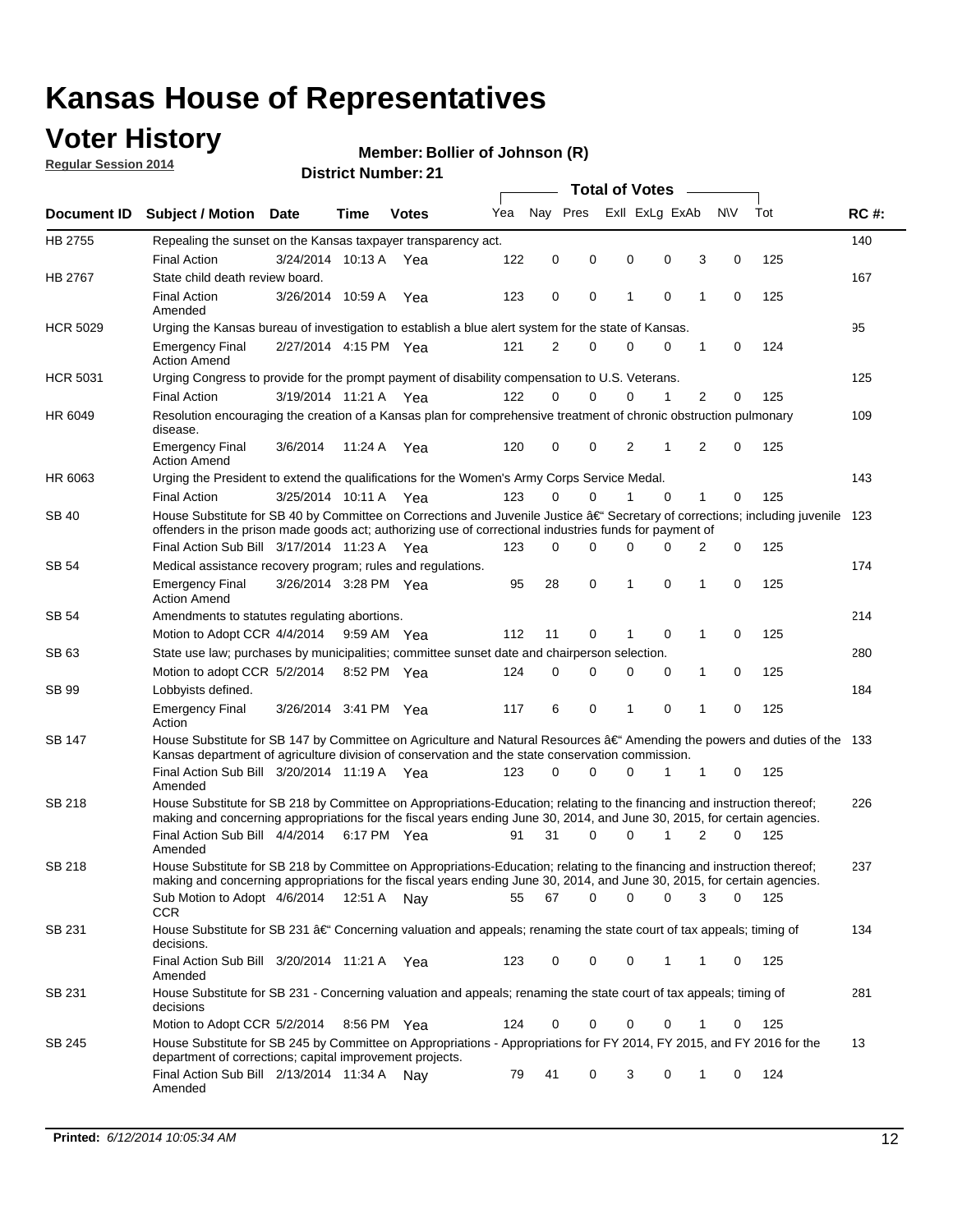## **Voter History**

**Regular Session 2014**

#### **Member: Bollier of Johnson (R)**

|                    |                                                                                                                                                                                                                                      |                       |             |              |     |          |          | <b>Total of Votes</b> |                |             |                |             |     |             |
|--------------------|--------------------------------------------------------------------------------------------------------------------------------------------------------------------------------------------------------------------------------------|-----------------------|-------------|--------------|-----|----------|----------|-----------------------|----------------|-------------|----------------|-------------|-----|-------------|
| <b>Document ID</b> | <b>Subject / Motion Date</b>                                                                                                                                                                                                         |                       | Time        | <b>Votes</b> | Yea | Nav Pres |          |                       | Exll ExLg ExAb |             | <b>NV</b>      |             | Tot | <b>RC#:</b> |
| HB 2755            | Repealing the sunset on the Kansas taxpayer transparency act.                                                                                                                                                                        |                       |             |              |     |          |          |                       |                |             |                |             |     | 140         |
|                    | <b>Final Action</b>                                                                                                                                                                                                                  | 3/24/2014 10:13 A     |             | Yea          | 122 | 0        | 0        | 0                     |                | 0           | 3              | 0           | 125 |             |
| HB 2767            | State child death review board.                                                                                                                                                                                                      |                       |             |              |     |          |          |                       |                |             |                |             |     | 167         |
|                    | <b>Final Action</b><br>Amended                                                                                                                                                                                                       | 3/26/2014 10:59 A     |             | Yea          | 123 | 0        | 0        | 1                     |                | $\mathbf 0$ | 1              | 0           | 125 |             |
| <b>HCR 5029</b>    | Urging the Kansas bureau of investigation to establish a blue alert system for the state of Kansas.                                                                                                                                  |                       |             |              |     |          |          |                       |                |             |                |             |     | 95          |
|                    | <b>Emergency Final</b><br><b>Action Amend</b>                                                                                                                                                                                        | 2/27/2014 4:15 PM Yea |             |              | 121 | 2        | 0        | 0                     |                | 0           | 1              | 0           | 124 |             |
| <b>HCR 5031</b>    | Urging Congress to provide for the prompt payment of disability compensation to U.S. Veterans.                                                                                                                                       |                       |             |              |     |          |          |                       |                |             |                |             |     | 125         |
|                    | <b>Final Action</b>                                                                                                                                                                                                                  | 3/19/2014 11:21 A Yea |             |              | 122 | $\Omega$ | $\Omega$ | 0                     |                | 1           | 2              | 0           | 125 |             |
| HR 6049            | Resolution encouraging the creation of a Kansas plan for comprehensive treatment of chronic obstruction pulmonary<br>disease.                                                                                                        |                       |             |              |     |          |          |                       |                |             |                |             |     | 109         |
|                    | <b>Emergency Final</b><br><b>Action Amend</b>                                                                                                                                                                                        | 3/6/2014              | 11:24 A     | Yea          | 120 | 0        | 0        | $\overline{2}$        | 1              |             | $\overline{2}$ | $\mathbf 0$ | 125 |             |
| HR 6063            | Urging the President to extend the qualifications for the Women's Army Corps Service Medal.                                                                                                                                          |                       |             |              |     |          |          |                       |                |             |                |             |     | 143         |
|                    | <b>Final Action</b>                                                                                                                                                                                                                  | 3/25/2014 10:11 A Yea |             |              | 123 | $\Omega$ | $\Omega$ | 1                     |                | $\Omega$    | 1              | 0           | 125 |             |
| SB 40              | House Substitute for SB 40 by Committee on Corrections and Juvenile Justice †Secretary of corrections; including juvenile<br>offenders in the prison made goods act; authorizing use of correctional industries funds for payment of |                       |             |              |     |          |          |                       |                |             |                |             |     | 123         |
|                    | Final Action Sub Bill 3/17/2014 11:23 A Yea                                                                                                                                                                                          |                       |             |              | 123 | 0        | 0        | 0                     |                | $\Omega$    | 2              | 0           | 125 |             |
| SB 54              | Medical assistance recovery program; rules and regulations.                                                                                                                                                                          |                       |             |              |     |          |          |                       |                |             |                |             |     | 174         |
|                    | <b>Emergency Final</b><br><b>Action Amend</b>                                                                                                                                                                                        | 3/26/2014 3:28 PM Yea |             |              | 95  | 28       | 0        | 1                     |                | 0           | 1              | 0           | 125 |             |
| SB 54              | Amendments to statutes regulating abortions.                                                                                                                                                                                         |                       |             |              |     |          |          |                       |                |             |                |             |     | 214         |
|                    | Motion to Adopt CCR 4/4/2014                                                                                                                                                                                                         |                       | 9:59 AM Yea |              | 112 | 11       | 0        |                       |                | $\mathbf 0$ | 1              | 0           | 125 |             |
| SB 63              | State use law; purchases by municipalities; committee sunset date and chairperson selection.                                                                                                                                         |                       |             |              |     |          |          |                       |                |             |                |             |     | 280         |
|                    | Motion to adopt CCR 5/2/2014                                                                                                                                                                                                         |                       | 8:52 PM Yea |              | 124 | 0        | 0        | 0                     |                | 0           | 1              | 0           | 125 |             |
| SB 99              | Lobbyists defined.                                                                                                                                                                                                                   |                       |             |              |     |          |          |                       |                |             |                |             |     | 184         |
|                    | <b>Emergency Final</b><br>Action                                                                                                                                                                                                     | 3/26/2014 3:41 PM Yea |             |              | 117 | 6        | 0        | 1                     |                | 0           | 1              | 0           | 125 |             |
| SB 147             | House Substitute for SB 147 by Committee on Agriculture and Natural Resources †Amending the powers and duties of the 133<br>Kansas department of agriculture division of conservation and the state conservation commission.         |                       |             |              |     |          |          |                       |                |             |                |             |     |             |
|                    | Final Action Sub Bill 3/20/2014 11:19 A Yea<br>Amended                                                                                                                                                                               |                       |             |              | 123 | 0        | $\Omega$ | 0                     |                | 1           | 1              | 0           | 125 |             |
| SB 218             | House Substitute for SB 218 by Committee on Appropriations-Education; relating to the financing and instruction thereof;                                                                                                             |                       |             |              |     |          |          |                       |                |             |                |             |     | 226         |
|                    | making and concerning appropriations for the fiscal years ending June 30, 2014, and June 30, 2015, for certain agencies.<br>Final Action Sub Bill 4/4/2014<br>Amended                                                                |                       | 6:17 PM Yea |              | 91  | 31       | $\Omega$ | 0                     |                | 1           | $\overline{2}$ | $\Omega$    | 125 |             |
| SB 218             | House Substitute for SB 218 by Committee on Appropriations-Education; relating to the financing and instruction thereof;                                                                                                             |                       |             |              |     |          |          |                       |                |             |                |             |     | 237         |
|                    | making and concerning appropriations for the fiscal years ending June 30, 2014, and June 30, 2015, for certain agencies.                                                                                                             |                       |             |              |     |          |          |                       |                |             |                |             |     |             |
|                    | Sub Motion to Adopt 4/6/2014 12:51 A Nay<br><b>CCR</b>                                                                                                                                                                               |                       |             |              | 55  | 67       | 0        | 0                     |                | 0           | 3              | 0           | 125 |             |
| SB 231             | House Substitute for SB 231 †Concerning valuation and appeals; renaming the state court of tax appeals; timing of<br>decisions.                                                                                                      |                       |             |              |     |          |          |                       |                |             |                |             |     | 134         |
|                    | Final Action Sub Bill 3/20/2014 11:21 A Yea<br>Amended                                                                                                                                                                               |                       |             |              | 123 | 0        | 0        | 0                     |                | 1           | 1              | 0           | 125 |             |
| SB 231             | House Substitute for SB 231 - Concerning valuation and appeals; renaming the state court of tax appeals; timing of<br>decisions                                                                                                      |                       |             |              |     |          |          |                       |                |             |                |             |     | 281         |
|                    | Motion to Adopt CCR 5/2/2014                                                                                                                                                                                                         |                       | 8:56 PM Yea |              | 124 | 0        | 0        | 0                     |                | $\mathbf 0$ | 1              | 0           | 125 |             |
| SB 245             | House Substitute for SB 245 by Committee on Appropriations - Appropriations for FY 2014, FY 2015, and FY 2016 for the<br>department of corrections; capital improvement projects.                                                    |                       |             |              |     |          |          |                       |                |             |                |             |     | 13          |
|                    | Final Action Sub Bill 2/13/2014 11:34 A Nay<br>Amended                                                                                                                                                                               |                       |             |              | 79  | 41       | 0        | 3                     |                | 0           | 1              | 0           | 124 |             |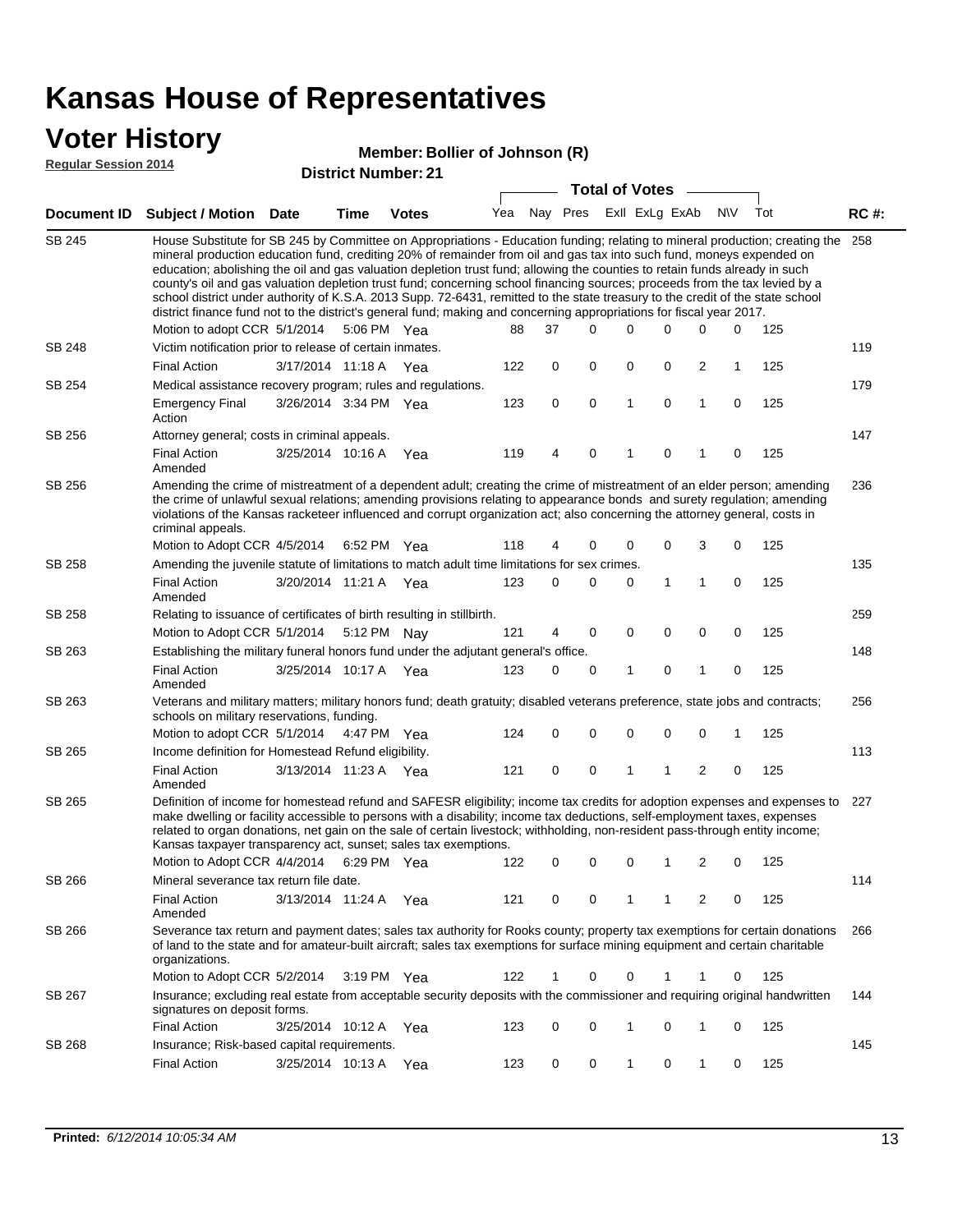### **Voter History**

#### **Member: Bollier of Johnson (R)**

**Regular Session 2014**

|               |                                                                                                                                                                                                                                                                                                                                                                                                                                                                                                                                                                                                                                                                                                                                                                                                                   |                       |             | PISUIVLINUIIIDULLAI   |     |    | <b>Total of Votes</b>       |   |             |                |             |     |             |
|---------------|-------------------------------------------------------------------------------------------------------------------------------------------------------------------------------------------------------------------------------------------------------------------------------------------------------------------------------------------------------------------------------------------------------------------------------------------------------------------------------------------------------------------------------------------------------------------------------------------------------------------------------------------------------------------------------------------------------------------------------------------------------------------------------------------------------------------|-----------------------|-------------|-----------------------|-----|----|-----------------------------|---|-------------|----------------|-------------|-----|-------------|
|               | Document ID Subject / Motion Date                                                                                                                                                                                                                                                                                                                                                                                                                                                                                                                                                                                                                                                                                                                                                                                 |                       | <b>Time</b> | <b>Votes</b>          |     |    | Yea Nay Pres ExII ExLg ExAb |   |             |                | <b>NV</b>   | Tot | <b>RC#:</b> |
| <b>SB 245</b> | House Substitute for SB 245 by Committee on Appropriations - Education funding; relating to mineral production; creating the 258<br>mineral production education fund, crediting 20% of remainder from oil and gas tax into such fund, moneys expended on<br>education; abolishing the oil and gas valuation depletion trust fund; allowing the counties to retain funds already in such<br>county's oil and gas valuation depletion trust fund; concerning school financing sources; proceeds from the tax levied by a<br>school district under authority of K.S.A. 2013 Supp. 72-6431, remitted to the state treasury to the credit of the state school<br>district finance fund not to the district's general fund; making and concerning appropriations for fiscal year 2017.<br>Motion to adopt CCR 5/1/2014 |                       |             | 5:06 PM Yea           | 88  | 37 | 0                           | 0 | 0           | 0              | 0           | 125 |             |
| <b>SB 248</b> | Victim notification prior to release of certain inmates.                                                                                                                                                                                                                                                                                                                                                                                                                                                                                                                                                                                                                                                                                                                                                          |                       |             |                       |     |    |                             |   |             |                |             |     | 119         |
|               | <b>Final Action</b>                                                                                                                                                                                                                                                                                                                                                                                                                                                                                                                                                                                                                                                                                                                                                                                               | 3/17/2014 11:18 A     |             | Yea                   | 122 | 0  | 0                           | 0 | 0           | 2              | 1           | 125 |             |
| SB 254        | Medical assistance recovery program; rules and regulations.                                                                                                                                                                                                                                                                                                                                                                                                                                                                                                                                                                                                                                                                                                                                                       |                       |             |                       |     |    |                             |   |             |                |             |     | 179         |
|               | <b>Emergency Final</b><br>Action                                                                                                                                                                                                                                                                                                                                                                                                                                                                                                                                                                                                                                                                                                                                                                                  | 3/26/2014 3:34 PM Yea |             |                       | 123 | 0  | 0                           | 1 | 0           | $\mathbf{1}$   | 0           | 125 |             |
| SB 256        | Attorney general; costs in criminal appeals.                                                                                                                                                                                                                                                                                                                                                                                                                                                                                                                                                                                                                                                                                                                                                                      |                       |             |                       |     |    |                             |   |             |                |             |     | 147         |
|               | <b>Final Action</b><br>Amended                                                                                                                                                                                                                                                                                                                                                                                                                                                                                                                                                                                                                                                                                                                                                                                    | 3/25/2014 10:16 A     |             | Yea                   | 119 | 4  | 0                           | 1 | 0           | 1              | $\mathbf 0$ | 125 |             |
| SB 256        | Amending the crime of mistreatment of a dependent adult; creating the crime of mistreatment of an elder person; amending<br>the crime of unlawful sexual relations; amending provisions relating to appearance bonds and surety regulation; amending<br>violations of the Kansas racketeer influenced and corrupt organization act; also concerning the attorney general, costs in<br>criminal appeals.                                                                                                                                                                                                                                                                                                                                                                                                           |                       |             |                       |     |    |                             |   |             |                |             |     | 236         |
|               | Motion to Adopt CCR 4/5/2014                                                                                                                                                                                                                                                                                                                                                                                                                                                                                                                                                                                                                                                                                                                                                                                      |                       |             | 6:52 PM Yea           | 118 | 4  | 0                           | 0 | 0           | 3              | 0           | 125 |             |
| SB 258        | Amending the juvenile statute of limitations to match adult time limitations for sex crimes.                                                                                                                                                                                                                                                                                                                                                                                                                                                                                                                                                                                                                                                                                                                      |                       |             |                       |     |    |                             |   |             |                |             |     | 135         |
|               | <b>Final Action</b><br>Amended                                                                                                                                                                                                                                                                                                                                                                                                                                                                                                                                                                                                                                                                                                                                                                                    | 3/20/2014 11:21 A Yea |             |                       | 123 | 0  | 0                           | 0 | 1           | 1              | 0           | 125 |             |
| <b>SB 258</b> | Relating to issuance of certificates of birth resulting in stillbirth.                                                                                                                                                                                                                                                                                                                                                                                                                                                                                                                                                                                                                                                                                                                                            |                       |             |                       |     |    |                             |   |             |                |             |     | 259         |
|               | Motion to Adopt CCR 5/1/2014 5:12 PM Nay                                                                                                                                                                                                                                                                                                                                                                                                                                                                                                                                                                                                                                                                                                                                                                          |                       |             |                       | 121 | 4  | 0                           | 0 | 0           | 0              | 0           | 125 |             |
| SB 263        | Establishing the military funeral honors fund under the adjutant general's office.                                                                                                                                                                                                                                                                                                                                                                                                                                                                                                                                                                                                                                                                                                                                |                       |             |                       |     |    |                             |   |             |                |             |     | 148         |
|               | <b>Final Action</b><br>Amended                                                                                                                                                                                                                                                                                                                                                                                                                                                                                                                                                                                                                                                                                                                                                                                    | 3/25/2014 10:17 A Yea |             |                       | 123 | 0  | 0                           | 1 | 0           | 1              | 0           | 125 |             |
| SB 263        | Veterans and military matters; military honors fund; death gratuity; disabled veterans preference, state jobs and contracts;<br>schools on military reservations, funding.                                                                                                                                                                                                                                                                                                                                                                                                                                                                                                                                                                                                                                        |                       |             |                       |     |    |                             |   |             |                |             |     | 256         |
|               | Motion to adopt CCR 5/1/2014 4:47 PM Yea                                                                                                                                                                                                                                                                                                                                                                                                                                                                                                                                                                                                                                                                                                                                                                          |                       |             |                       | 124 | 0  | 0                           | 0 | $\mathbf 0$ | 0              | 1           | 125 |             |
| SB 265        | Income definition for Homestead Refund eligibility.                                                                                                                                                                                                                                                                                                                                                                                                                                                                                                                                                                                                                                                                                                                                                               |                       |             |                       |     |    |                             |   |             |                |             |     | 113         |
|               | <b>Final Action</b><br>Amended                                                                                                                                                                                                                                                                                                                                                                                                                                                                                                                                                                                                                                                                                                                                                                                    | 3/13/2014 11:23 A Yea |             |                       | 121 | 0  | 0                           | 1 | 1           | $\overline{2}$ | 0           | 125 |             |
| SB 265        | Definition of income for homestead refund and SAFESR eligibility; income tax credits for adoption expenses and expenses to<br>make dwelling or facility accessible to persons with a disability; income tax deductions, self-employment taxes, expenses<br>related to organ donations, net gain on the sale of certain livestock; withholding, non-resident pass-through entity income;<br>Kansas taxpayer transparency act, sunset; sales tax exemptions.<br>Motion to Adopt CCR 4/4/2014 6:29 PM Yea                                                                                                                                                                                                                                                                                                            |                       |             |                       | 122 | 0  | 0                           | 0 | 1           | 2              | 0           | 125 | 227         |
| SB 266        | Mineral severance tax return file date.                                                                                                                                                                                                                                                                                                                                                                                                                                                                                                                                                                                                                                                                                                                                                                           |                       |             |                       |     |    |                             |   |             |                |             |     | 114         |
|               | <b>Final Action</b><br>Amended                                                                                                                                                                                                                                                                                                                                                                                                                                                                                                                                                                                                                                                                                                                                                                                    | 3/13/2014 11:24 A     |             | Yea                   | 121 | 0  | 0                           | 1 | 1           | 2              | 0           | 125 |             |
| SB 266        | Severance tax return and payment dates; sales tax authority for Rooks county; property tax exemptions for certain donations<br>of land to the state and for amateur-built aircraft; sales tax exemptions for surface mining equipment and certain charitable<br>organizations.                                                                                                                                                                                                                                                                                                                                                                                                                                                                                                                                    |                       |             |                       |     |    |                             |   |             |                |             |     | 266         |
|               | Motion to Adopt CCR 5/2/2014                                                                                                                                                                                                                                                                                                                                                                                                                                                                                                                                                                                                                                                                                                                                                                                      |                       |             | $3:19 \text{ PM}$ Yea | 122 | 1  | 0                           | 0 | 1           | 1              | 0           | 125 |             |
| SB 267        | Insurance; excluding real estate from acceptable security deposits with the commissioner and requiring original handwritten<br>signatures on deposit forms.                                                                                                                                                                                                                                                                                                                                                                                                                                                                                                                                                                                                                                                       |                       |             |                       |     |    |                             |   |             |                |             |     | 144         |
|               | <b>Final Action</b>                                                                                                                                                                                                                                                                                                                                                                                                                                                                                                                                                                                                                                                                                                                                                                                               | 3/25/2014 10:12 A Yea |             |                       | 123 | 0  | 0                           | 1 | 0           | 1              | 0           | 125 |             |
| SB 268        | Insurance; Risk-based capital requirements.                                                                                                                                                                                                                                                                                                                                                                                                                                                                                                                                                                                                                                                                                                                                                                       |                       |             |                       |     |    |                             |   |             |                |             |     | 145         |
|               | <b>Final Action</b>                                                                                                                                                                                                                                                                                                                                                                                                                                                                                                                                                                                                                                                                                                                                                                                               | 3/25/2014 10:13 A     |             | Yea                   | 123 | 0  | 0                           | 1 | 0           | 1              | 0           | 125 |             |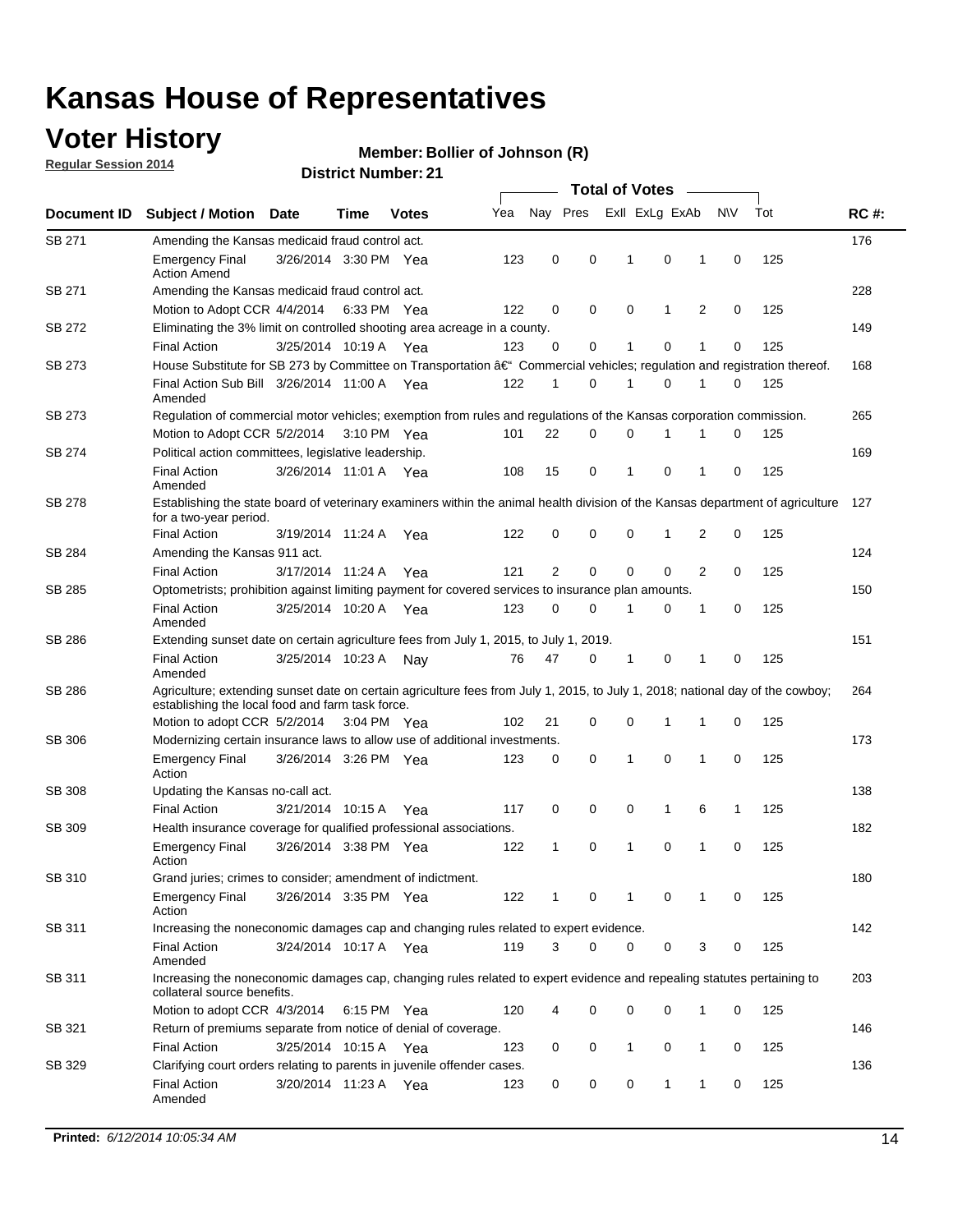### **Voter History**

**Regular Session 2014**

#### **Member: Bollier of Johnson (R)**

|                    |                                                                                                                                                                                    |                       |      |              | <b>Total of Votes</b> |              |             |              |  |                |     |             |     |             |
|--------------------|------------------------------------------------------------------------------------------------------------------------------------------------------------------------------------|-----------------------|------|--------------|-----------------------|--------------|-------------|--------------|--|----------------|-----|-------------|-----|-------------|
| <b>Document ID</b> | <b>Subject / Motion Date</b>                                                                                                                                                       |                       | Time | <b>Votes</b> | Yea                   | Nay Pres     |             |              |  | Exll ExLg ExAb | N\V |             | Tot | <b>RC#:</b> |
| <b>SB 271</b>      | Amending the Kansas medicaid fraud control act.                                                                                                                                    |                       |      |              |                       |              |             |              |  |                |     |             |     | 176         |
|                    | <b>Emergency Final</b><br><b>Action Amend</b>                                                                                                                                      | 3/26/2014 3:30 PM Yea |      |              | 123                   | 0            | 0           | 1            |  | $\mathbf 0$    | 1   | 0           | 125 |             |
| SB 271             | Amending the Kansas medicaid fraud control act.                                                                                                                                    |                       |      |              |                       |              |             |              |  |                |     |             |     | 228         |
|                    | Motion to Adopt CCR 4/4/2014 6:33 PM Yea                                                                                                                                           |                       |      |              | 122                   | 0            | 0           | 0            |  | 1              | 2   | 0           | 125 |             |
| SB 272             | Eliminating the 3% limit on controlled shooting area acreage in a county.                                                                                                          |                       |      |              |                       |              |             |              |  |                |     |             |     | 149         |
|                    | <b>Final Action</b>                                                                                                                                                                | 3/25/2014 10:19 A Yea |      |              | 123                   | $\Omega$     | 0           | 1            |  | 0              | 1   | 0           | 125 |             |
| SB 273             | House Substitute for SB 273 by Committee on Transportation â€ <sup>4</sup> Commercial vehicles; regulation and registration thereof.                                               |                       |      |              |                       |              |             |              |  |                |     |             |     | 168         |
|                    | Final Action Sub Bill 3/26/2014 11:00 A Yea<br>Amended                                                                                                                             |                       |      |              | 122                   | $\mathbf 1$  | 0           | -1           |  | 0              | 1   | 0           | 125 |             |
| SB 273             | Regulation of commercial motor vehicles; exemption from rules and regulations of the Kansas corporation commission.                                                                |                       |      |              |                       |              |             |              |  |                |     |             |     | 265         |
|                    | Motion to Adopt CCR 5/2/2014 3:10 PM Yea                                                                                                                                           |                       |      |              | 101                   | 22           | 0           | 0            |  | 1              | 1   | 0           | 125 |             |
| SB 274             | Political action committees, legislative leadership.                                                                                                                               |                       |      |              |                       |              |             |              |  |                |     |             |     | 169         |
|                    | <b>Final Action</b><br>Amended                                                                                                                                                     | 3/26/2014 11:01 A Yea |      |              | 108                   | 15           | 0           | $\mathbf{1}$ |  | 0              | 1   | 0           | 125 |             |
| SB 278             | Establishing the state board of veterinary examiners within the animal health division of the Kansas department of agriculture<br>for a two-year period.                           |                       |      |              |                       |              |             |              |  |                |     |             |     | 127         |
|                    | <b>Final Action</b>                                                                                                                                                                | 3/19/2014 11:24 A     |      | Yea          | 122                   | 0            | 0           | 0            |  | $\mathbf 1$    | 2   | 0           | 125 |             |
| SB 284             | Amending the Kansas 911 act.                                                                                                                                                       |                       |      |              |                       |              |             |              |  |                |     |             |     | 124         |
|                    | <b>Final Action</b>                                                                                                                                                                | 3/17/2014 11:24 A     |      | Yea          | 121                   | 2            | $\mathbf 0$ | $\mathbf 0$  |  | 0              | 2   | $\Omega$    | 125 |             |
| SB 285             | Optometrists; prohibition against limiting payment for covered services to insurance plan amounts.                                                                                 |                       |      |              |                       |              |             |              |  |                |     |             |     | 150         |
|                    | <b>Final Action</b><br>Amended                                                                                                                                                     | 3/25/2014 10:20 A     |      | Yea          | 123                   | 0            | 0           | 1            |  | 0              | 1   | 0           | 125 |             |
| SB 286             | Extending sunset date on certain agriculture fees from July 1, 2015, to July 1, 2019.                                                                                              |                       |      |              |                       |              |             |              |  |                |     |             |     | 151         |
|                    | <b>Final Action</b><br>Amended                                                                                                                                                     | 3/25/2014 10:23 A     |      | Nav          | 76                    | 47           | 0           | $\mathbf 1$  |  | 0              | 1   | 0           | 125 |             |
| SB 286             | Agriculture; extending sunset date on certain agriculture fees from July 1, 2015, to July 1, 2018; national day of the cowboy;<br>establishing the local food and farm task force. |                       |      |              |                       |              |             |              |  |                |     |             |     | 264         |
|                    | Motion to adopt CCR 5/2/2014 3:04 PM Yea                                                                                                                                           |                       |      |              | 102                   | 21           | 0           | 0            |  | $\mathbf 1$    | 1   | 0           | 125 |             |
| SB 306             | Modernizing certain insurance laws to allow use of additional investments.                                                                                                         |                       |      |              |                       |              |             |              |  |                |     |             |     | 173         |
|                    | <b>Emergency Final</b>                                                                                                                                                             | 3/26/2014 3:26 PM Yea |      |              | 123                   | 0            | 0           | $\mathbf{1}$ |  | 0              | 1   | 0           | 125 |             |
|                    | Action                                                                                                                                                                             |                       |      |              |                       |              |             |              |  |                |     |             |     |             |
| <b>SB 308</b>      | Updating the Kansas no-call act.                                                                                                                                                   |                       |      |              |                       |              |             |              |  |                |     |             |     | 138         |
|                    | <b>Final Action</b>                                                                                                                                                                | 3/21/2014 10:15 A     |      | Yea          | 117                   | 0            | 0           | 0            |  | 1              | 6   | 1           | 125 |             |
| SB 309             | Health insurance coverage for qualified professional associations.                                                                                                                 |                       |      |              |                       |              |             |              |  |                |     |             |     | 182         |
|                    | <b>Emergency Final</b><br>Action                                                                                                                                                   | 3/26/2014 3:38 PM Yea |      |              | 122                   | $\mathbf{1}$ | 0           | 1            |  | 0              | 1   | $\mathbf 0$ | 125 |             |
| SB 310             | Grand juries; crimes to consider; amendment of indictment.                                                                                                                         |                       |      |              |                       |              |             |              |  |                |     |             |     | 180         |
|                    | <b>Emergency Final</b><br>Action                                                                                                                                                   | 3/26/2014 3:35 PM Yea |      |              | 122                   | 1            | 0           | -1           |  | 0              | 1   | 0           | 125 |             |
| SB 311             | Increasing the noneconomic damages cap and changing rules related to expert evidence.                                                                                              |                       |      |              |                       |              |             |              |  |                |     |             |     | 142         |
|                    | <b>Final Action</b><br>Amended                                                                                                                                                     | 3/24/2014 10:17 A Yea |      |              | 119                   | 3            | 0           | 0            |  | 0              | 3   | 0           | 125 |             |
| SB 311             | Increasing the noneconomic damages cap, changing rules related to expert evidence and repealing statutes pertaining to<br>collateral source benefits.                              |                       |      |              |                       |              |             |              |  |                |     |             |     | 203         |
|                    | Motion to adopt CCR 4/3/2014 6:15 PM Yea                                                                                                                                           |                       |      |              | 120                   | 4            | 0           | 0            |  | 0              | 1   | 0           | 125 |             |
| SB 321             | Return of premiums separate from notice of denial of coverage.                                                                                                                     |                       |      |              |                       |              |             |              |  |                |     |             |     | 146         |
|                    | <b>Final Action</b>                                                                                                                                                                | 3/25/2014 10:15 A Yea |      |              | 123                   | 0            | 0           | $\mathbf{1}$ |  | 0              | 1   | 0           | 125 |             |
| SB 329             | Clarifying court orders relating to parents in juvenile offender cases.<br><b>Final Action</b><br>Amended                                                                          | 3/20/2014 11:23 A Yea |      |              | 123                   | 0            | 0           | 0            |  | 1              | 1   | 0           | 125 | 136         |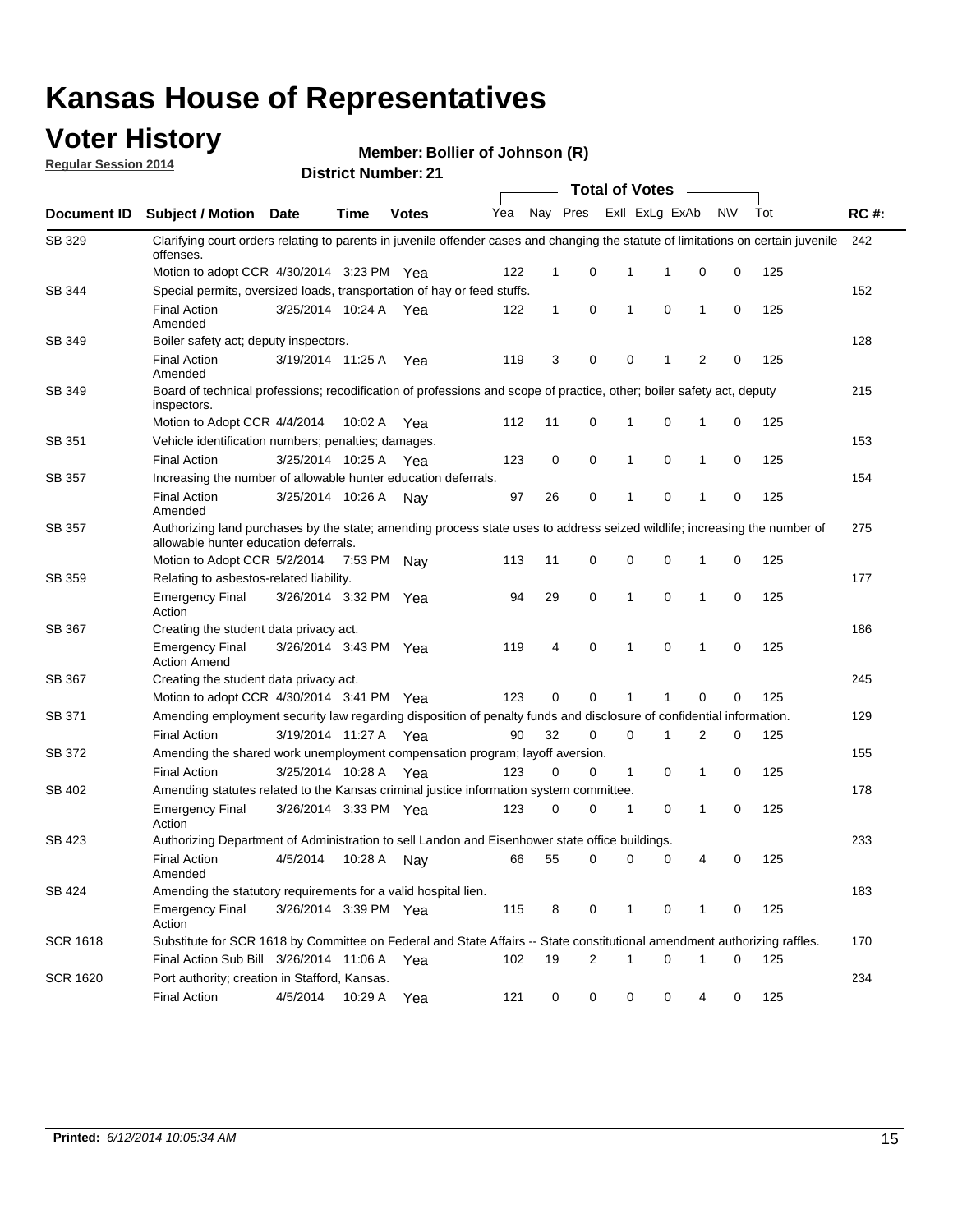### **Voter History**

**Regular Session 2014**

#### **Member: Bollier of Johnson (R)**

|                    |                                                                                                                                                                    |                       |             |              |     |              |                         |              | <b>Total of Votes</b> |              |           |     |             |
|--------------------|--------------------------------------------------------------------------------------------------------------------------------------------------------------------|-----------------------|-------------|--------------|-----|--------------|-------------------------|--------------|-----------------------|--------------|-----------|-----|-------------|
| <b>Document ID</b> | <b>Subject / Motion Date</b>                                                                                                                                       |                       | Time        | <b>Votes</b> | Yea |              | Nay Pres                |              | Exll ExLg ExAb        |              | <b>NV</b> | Tot | <b>RC#:</b> |
| SB 329             | Clarifying court orders relating to parents in juvenile offender cases and changing the statute of limitations on certain juvenile<br>offenses.                    |                       |             |              |     |              |                         |              |                       |              |           |     | 242         |
|                    | Motion to adopt CCR 4/30/2014 3:23 PM Yea                                                                                                                          |                       |             |              | 122 | $\mathbf 1$  | 0                       | 1            | -1                    | 0            | 0         | 125 |             |
| SB 344             | Special permits, oversized loads, transportation of hay or feed stuffs.                                                                                            |                       |             |              |     |              |                         |              |                       |              |           |     | 152         |
|                    | <b>Final Action</b><br>Amended                                                                                                                                     | 3/25/2014 10:24 A     |             | Yea          | 122 | $\mathbf{1}$ | 0                       | $\mathbf{1}$ | 0                     | $\mathbf{1}$ | 0         | 125 |             |
| <b>SB 349</b>      | Boiler safety act; deputy inspectors.                                                                                                                              |                       |             |              |     |              |                         |              |                       |              |           |     | 128         |
|                    | <b>Final Action</b><br>Amended                                                                                                                                     | 3/19/2014 11:25 A     |             | Yea          | 119 | 3            | 0                       | 0            | 1                     | 2            | 0         | 125 |             |
| SB 349             | Board of technical professions; recodification of professions and scope of practice, other; boiler safety act, deputy<br>inspectors.                               |                       |             |              |     |              |                         |              |                       |              |           |     | 215         |
|                    | Motion to Adopt CCR 4/4/2014                                                                                                                                       |                       | 10:02 A     | Yea          | 112 | 11           | 0                       | 1            | 0                     | 1            | 0         | 125 |             |
| SB 351             | Vehicle identification numbers; penalties; damages.                                                                                                                |                       |             |              |     |              |                         |              |                       |              |           |     | 153         |
|                    | <b>Final Action</b>                                                                                                                                                | 3/25/2014 10:25 A     |             | Yea          | 123 | 0            | 0                       | 1            | 0                     | 1            | 0         | 125 |             |
| SB 357             | Increasing the number of allowable hunter education deferrals.                                                                                                     |                       |             |              |     |              |                         |              |                       |              |           |     | 154         |
|                    | <b>Final Action</b><br>Amended                                                                                                                                     | 3/25/2014 10:26 A     |             | Nav          | 97  | 26           | 0                       | $\mathbf{1}$ | 0                     | 1            | 0         | 125 |             |
| SB 357             | Authorizing land purchases by the state; amending process state uses to address seized wildlife; increasing the number of<br>allowable hunter education deferrals. |                       |             |              |     |              |                         |              |                       |              |           |     | 275         |
|                    | Motion to Adopt CCR 5/2/2014                                                                                                                                       |                       | 7:53 PM Nay |              | 113 | 11           | 0                       | 0            | $\mathbf 0$           | 1            | 0         | 125 |             |
| SB 359             | Relating to asbestos-related liability.                                                                                                                            |                       |             |              |     |              |                         |              |                       |              |           |     | 177         |
|                    | <b>Emergency Final</b><br>Action                                                                                                                                   | 3/26/2014 3:32 PM Yea |             |              | 94  | 29           | 0                       | 1            | $\Omega$              | 1            | 0         | 125 |             |
| <b>SB 367</b>      | Creating the student data privacy act.                                                                                                                             |                       |             |              |     |              |                         |              |                       |              |           |     | 186         |
|                    | <b>Emergency Final</b><br><b>Action Amend</b>                                                                                                                      | 3/26/2014 3:43 PM Yea |             |              | 119 | 4            | 0                       | $\mathbf{1}$ | 0                     | 1            | 0         | 125 |             |
| SB 367             | Creating the student data privacy act.                                                                                                                             |                       |             |              |     |              |                         |              |                       |              |           |     | 245         |
|                    | Motion to adopt CCR 4/30/2014 3:41 PM Yea                                                                                                                          |                       |             |              | 123 | 0            | 0                       | 1            | 1                     | 0            | 0         | 125 |             |
| SB 371             | Amending employment security law regarding disposition of penalty funds and disclosure of confidential information.                                                |                       |             |              |     |              |                         |              |                       |              |           |     | 129         |
|                    | <b>Final Action</b>                                                                                                                                                | 3/19/2014 11:27 A     |             | Yea          | 90  | 32           | 0                       | $\mathbf 0$  | 1                     | 2            | 0         | 125 |             |
| SB 372             | Amending the shared work unemployment compensation program; layoff aversion.                                                                                       |                       |             |              |     |              |                         |              |                       |              |           |     | 155         |
|                    | <b>Final Action</b>                                                                                                                                                | 3/25/2014 10:28 A     |             | Yea          | 123 | 0            | 0                       | 1            | 0                     | 1            | 0         | 125 |             |
| SB 402             | Amending statutes related to the Kansas criminal justice information system committee.                                                                             |                       |             |              |     |              |                         |              |                       |              |           |     | 178         |
|                    | <b>Emergency Final</b><br>Action                                                                                                                                   | 3/26/2014 3:33 PM Yea |             |              | 123 | 0            | 0                       | $\mathbf{1}$ | 0                     | $\mathbf{1}$ | 0         | 125 |             |
| SB 423             | Authorizing Department of Administration to sell Landon and Eisenhower state office buildings.                                                                     |                       |             |              |     |              |                         |              |                       |              |           |     | 233         |
|                    | <b>Final Action</b><br>Amended                                                                                                                                     | 4/5/2014              | 10:28 A     | Nay          | 66  | 55           | 0                       | 0            | 0                     | 4            | 0         | 125 |             |
| SB 424             | Amending the statutory requirements for a valid hospital lien.                                                                                                     |                       |             |              |     |              |                         |              |                       |              |           |     | 183         |
|                    | <b>Emergency Final</b><br>Action                                                                                                                                   | 3/26/2014 3:39 PM Yea |             |              | 115 | 8            | 0                       | 1            | 0                     | 1            | 0         | 125 |             |
| <b>SCR 1618</b>    | Substitute for SCR 1618 by Committee on Federal and State Affairs -- State constitutional amendment authorizing raffles.                                           |                       |             |              |     |              |                         |              |                       |              |           |     | 170         |
|                    | Final Action Sub Bill 3/26/2014 11:06 A Yea                                                                                                                        |                       |             |              | 102 | 19           | $\overline{\mathbf{c}}$ | 1            | 0                     | 1            | 0         | 125 |             |
| <b>SCR 1620</b>    | Port authority; creation in Stafford, Kansas.                                                                                                                      |                       |             |              |     |              |                         |              |                       |              |           |     | 234         |
|                    | <b>Final Action</b>                                                                                                                                                | 4/5/2014              | 10:29 A     | Yea          | 121 | 0            | 0                       | 0            | 0                     | 4            | 0         | 125 |             |